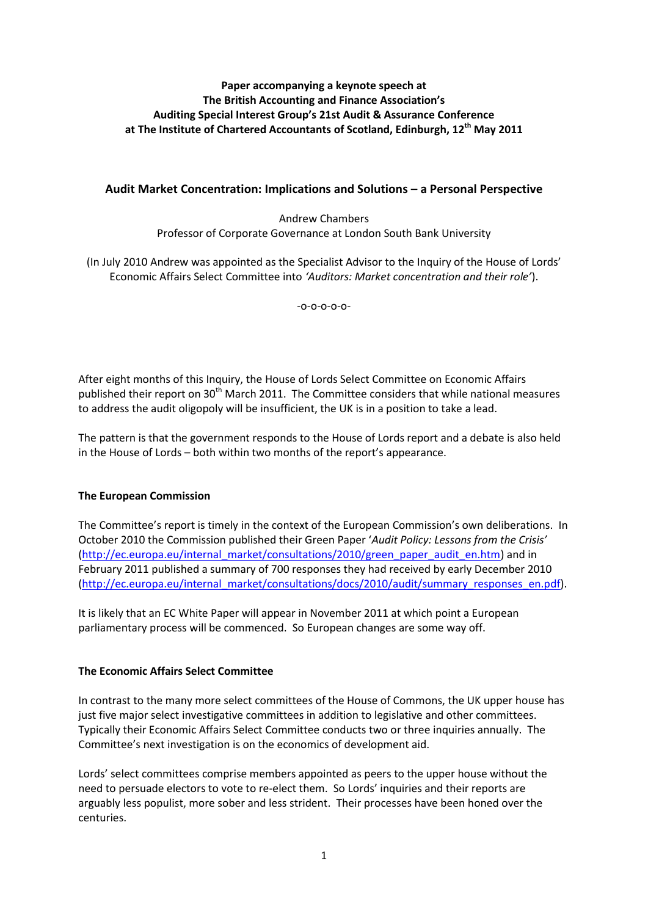## **Paper accompanying a keynote speech at The British Accounting and Finance Association's Auditing Special Interest Group's 21st Audit & Assurance Conference at The Institute of Chartered Accountants of Scotland, Edinburgh, 12 th May 2011**

### **Audit Market Concentration: Implications and Solutions – a Personal Perspective**

Andrew Chambers Professor of Corporate Governance at London South Bank University

(In July 2010 Andrew was appointed as the Specialist Advisor to the Inquiry of the House of Lords' Economic Affairs Select Committee into *'Auditors: Market concentration and their role'*).

-o-o-o-o-o-

After eight months of this Inquiry, the House of Lords Select Committee on Economic Affairs published their report on 30<sup>th</sup> March 2011. The Committee considers that while national measures to address the audit oligopoly will be insufficient, the UK is in a position to take a lead.

The pattern is that the government responds to the House of Lords report and a debate is also held in the House of Lords – both within two months of the report's appearance.

### **The European Commission**

The Committee's report is timely in the context of the European Commission's own deliberations. In October 2010 the Commission published their Green Paper '*Audit Policy: Lessons from the Crisis'*  [\(http://ec.europa.eu/internal\\_market/consultations/2010/green\\_paper\\_audit\\_en.htm\)](http://ec.europa.eu/internal_market/consultations/2010/green_paper_audit_en.htm) and in February 2011 published a summary of 700 responses they had received by early December 2010 [\(http://ec.europa.eu/internal\\_market/consultations/docs/2010/audit/summary\\_responses\\_en.pdf\)](http://ec.europa.eu/internal_market/consultations/docs/2010/audit/summary_responses_en.pdf).

It is likely that an EC White Paper will appear in November 2011 at which point a European parliamentary process will be commenced. So European changes are some way off.

### **The Economic Affairs Select Committee**

In contrast to the many more select committees of the House of Commons, the UK upper house has just five major select investigative committees in addition to legislative and other committees. Typically their Economic Affairs Select Committee conducts two or three inquiries annually. The Committee's next investigation is on the economics of development aid.

Lords' select committees comprise members appointed as peers to the upper house without the need to persuade electors to vote to re-elect them. So Lords' inquiries and their reports are arguably less populist, more sober and less strident. Their processes have been honed over the centuries.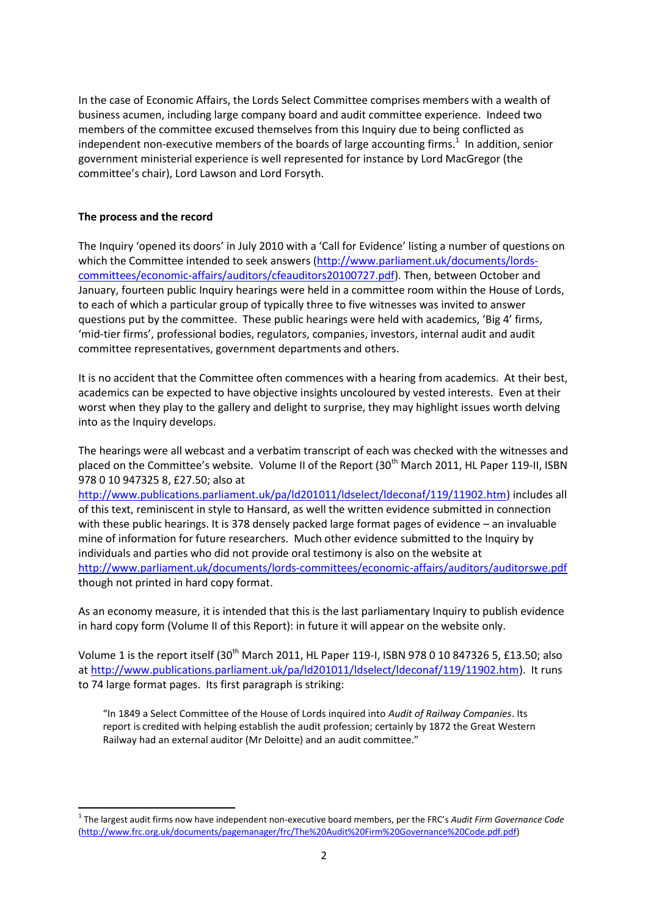In the case of Economic Affairs, the Lords Select Committee comprises members with a wealth of business acumen, including large company board and audit committee experience. Indeed two members of the committee excused themselves from this Inquiry due to being conflicted as independent non-executive members of the boards of large accounting firms. $1$  In addition, senior government ministerial experience is well represented for instance by Lord MacGregor (the committee's chair), Lord Lawson and Lord Forsyth.

### **The process and the record**

**.** 

The Inquiry 'opened its doors' in July 2010 with a 'Call for Evidence' listing a number of questions on which the Committee intended to seek answers [\(http://www.parliament.uk/documents/lords](http://www.parliament.uk/documents/lords-committees/economic-affairs/auditors/cfeauditors20100727.pdf)[committees/economic-affairs/auditors/cfeauditors20100727.pdf\)](http://www.parliament.uk/documents/lords-committees/economic-affairs/auditors/cfeauditors20100727.pdf). Then, between October and January, fourteen public Inquiry hearings were held in a committee room within the House of Lords, to each of which a particular group of typically three to five witnesses was invited to answer questions put by the committee. These public hearings were held with academics, 'Big 4' firms, 'mid-tier firms', professional bodies, regulators, companies, investors, internal audit and audit committee representatives, government departments and others.

It is no accident that the Committee often commences with a hearing from academics. At their best, academics can be expected to have objective insights uncoloured by vested interests. Even at their worst when they play to the gallery and delight to surprise, they may highlight issues worth delving into as the Inquiry develops.

The hearings were all webcast and a verbatim transcript of each was checked with the witnesses and placed on the Committee's website. Volume II of the Report (30<sup>th</sup> March 2011, HL Paper 119-II, ISBN 978 0 10 947325 8, £27.50; also at

[http://www.publications.parliament.uk/pa/ld201011/ldselect/ldeconaf/119/11902.htm\)](http://www.publications.parliament.uk/pa/ld201011/ldselect/ldeconaf/119/11902.htm) includes all of this text, reminiscent in style to Hansard, as well the written evidence submitted in connection with these public hearings. It is 378 densely packed large format pages of evidence – an invaluable mine of information for future researchers. Much other evidence submitted to the Inquiry by individuals and parties who did not provide oral testimony is also on the website at <http://www.parliament.uk/documents/lords-committees/economic-affairs/auditors/auditorswe.pdf> though not printed in hard copy format.

As an economy measure, it is intended that this is the last parliamentary Inquiry to publish evidence in hard copy form (Volume II of this Report): in future it will appear on the website only.

Volume 1 is the report itself  $(30<sup>th</sup>$  March 2011, HL Paper 119-I, ISBN 978 0 10 847326 5, £13.50; also a[t http://www.publications.parliament.uk/pa/ld201011/ldselect/ldeconaf/119/11902.htm\)](http://www.publications.parliament.uk/pa/ld201011/ldselect/ldeconaf/119/11902.htm). It runs to 74 large format pages. Its first paragraph is striking:

"In 1849 a Select Committee of the House of Lords inquired into *Audit of Railway Companies*. Its report is credited with helping establish the audit profession; certainly by 1872 the Great Western Railway had an external auditor (Mr Deloitte) and an audit committee."

<sup>1</sup> The largest audit firms now have independent non-executive board members, per the FRC's *Audit Firm Governance Code* [\(http://www.frc.org.uk/documents/pagemanager/frc/The%20Audit%20Firm%20Governance%20Code.pdf.pdf\)](http://www.frc.org.uk/documents/pagemanager/frc/The%20Audit%20Firm%20Governance%20Code.pdf.pdf)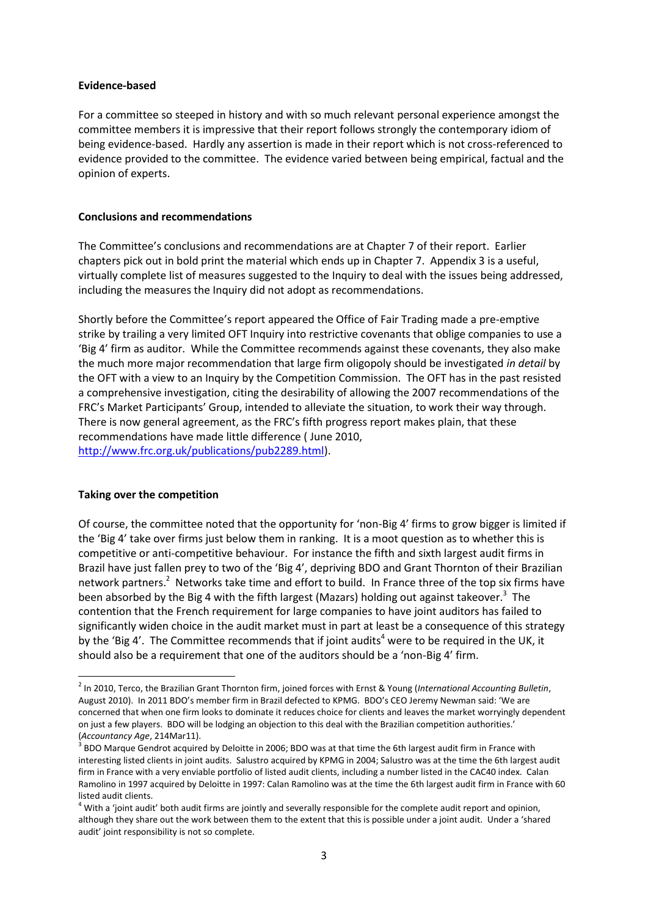### **Evidence-based**

For a committee so steeped in history and with so much relevant personal experience amongst the committee members it is impressive that their report follows strongly the contemporary idiom of being evidence-based. Hardly any assertion is made in their report which is not cross-referenced to evidence provided to the committee. The evidence varied between being empirical, factual and the opinion of experts.

### **Conclusions and recommendations**

The Committee's conclusions and recommendations are at Chapter 7 of their report. Earlier chapters pick out in bold print the material which ends up in Chapter 7. Appendix 3 is a useful, virtually complete list of measures suggested to the Inquiry to deal with the issues being addressed, including the measures the Inquiry did not adopt as recommendations.

Shortly before the Committee's report appeared the Office of Fair Trading made a pre-emptive strike by trailing a very limited OFT Inquiry into restrictive covenants that oblige companies to use a 'Big 4' firm as auditor. While the Committee recommends against these covenants, they also make the much more major recommendation that large firm oligopoly should be investigated *in detail* by the OFT with a view to an Inquiry by the Competition Commission. The OFT has in the past resisted a comprehensive investigation, citing the desirability of allowing the 2007 recommendations of the FRC's Market Participants' Group, intended to alleviate the situation, to work their way through. There is now general agreement, as the FRC's fifth progress report makes plain, that these recommendations have made little difference ( June 2010, [http://www.frc.org.uk/publications/pub2289.html\)](http://www.frc.org.uk/publications/pub2289.html).

### **Taking over the competition**

 $\overline{a}$ 

Of course, the committee noted that the opportunity for 'non-Big 4' firms to grow bigger is limited if the 'Big 4' take over firms just below them in ranking. It is a moot question as to whether this is competitive or anti-competitive behaviour. For instance the fifth and sixth largest audit firms in Brazil have just fallen prey to two of the 'Big 4', depriving BDO and Grant Thornton of their Brazilian network partners.<sup>2</sup> Networks take time and effort to build. In France three of the top six firms have been absorbed by the Big 4 with the fifth largest (Mazars) holding out against takeover.<sup>3</sup> The contention that the French requirement for large companies to have joint auditors has failed to significantly widen choice in the audit market must in part at least be a consequence of this strategy by the 'Big 4'. The Committee recommends that if joint audits<sup>4</sup> were to be required in the UK, it should also be a requirement that one of the auditors should be a 'non-Big 4' firm.

<sup>2</sup> In 2010, Terco, the Brazilian Grant Thornton firm, joined forces with Ernst & Young (*International Accounting Bulletin*, August 2010). In 2011 BDO's member firm in Brazil defected to KPMG. BDO's CEO Jeremy Newman said: 'We are concerned that when one firm looks to dominate it reduces choice for clients and leaves the market worryingly dependent on just a few players. BDO will be lodging an objection to this deal with the Brazilian competition authorities.' (*Accountancy Age*, 214Mar11).

 $3$  BDO Marque Gendrot acquired by Deloitte in 2006; BDO was at that time the 6th largest audit firm in France with interesting listed clients in joint audits. Salustro acquired by KPMG in 2004; Salustro was at the time the 6th largest audit firm in France with a very enviable portfolio of listed audit clients, including a number listed in the CAC40 index. Calan Ramolino in 1997 acquired by Deloitte in 1997: Calan Ramolino was at the time the 6th largest audit firm in France with 60 listed audit clients.

 $4$  With a 'joint audit' both audit firms are jointly and severally responsible for the complete audit report and opinion, although they share out the work between them to the extent that this is possible under a joint audit. Under a 'shared audit' joint responsibility is not so complete.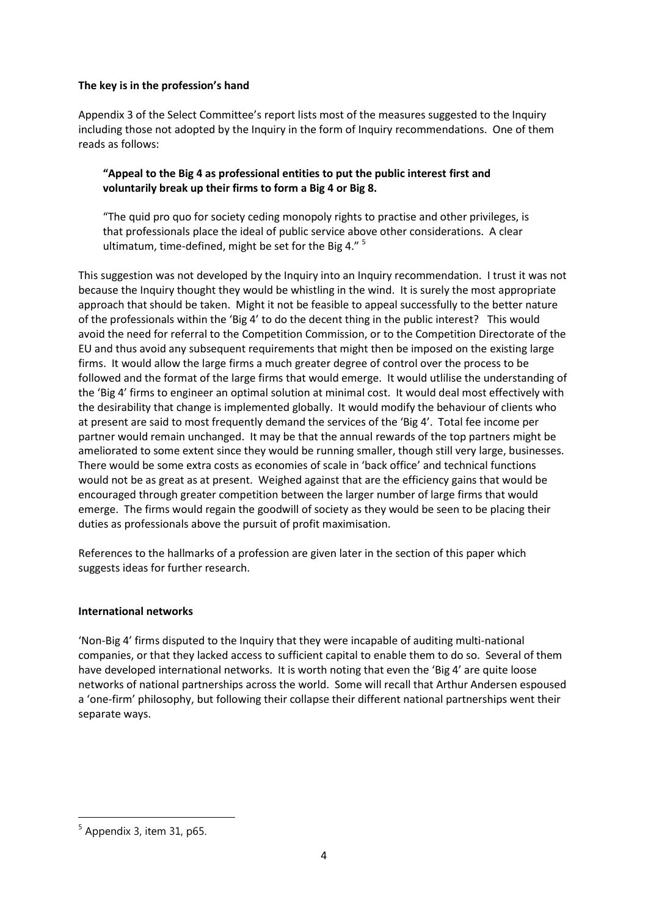### **The key is in the profession's hand**

Appendix 3 of the Select Committee's report lists most of the measures suggested to the Inquiry including those not adopted by the Inquiry in the form of Inquiry recommendations. One of them reads as follows:

## **"Appeal to the Big 4 as professional entities to put the public interest first and voluntarily break up their firms to form a Big 4 or Big 8.**

"The quid pro quo for society ceding monopoly rights to practise and other privileges, is that professionals place the ideal of public service above other considerations. A clear ultimatum, time-defined, might be set for the Big 4."<sup>5</sup>

This suggestion was not developed by the Inquiry into an Inquiry recommendation. I trust it was not because the Inquiry thought they would be whistling in the wind. It is surely the most appropriate approach that should be taken. Might it not be feasible to appeal successfully to the better nature of the professionals within the 'Big 4' to do the decent thing in the public interest? This would avoid the need for referral to the Competition Commission, or to the Competition Directorate of the EU and thus avoid any subsequent requirements that might then be imposed on the existing large firms. It would allow the large firms a much greater degree of control over the process to be followed and the format of the large firms that would emerge. It would utlilise the understanding of the 'Big 4' firms to engineer an optimal solution at minimal cost. It would deal most effectively with the desirability that change is implemented globally. It would modify the behaviour of clients who at present are said to most frequently demand the services of the 'Big 4'. Total fee income per partner would remain unchanged. It may be that the annual rewards of the top partners might be ameliorated to some extent since they would be running smaller, though still very large, businesses. There would be some extra costs as economies of scale in 'back office' and technical functions would not be as great as at present. Weighed against that are the efficiency gains that would be encouraged through greater competition between the larger number of large firms that would emerge. The firms would regain the goodwill of society as they would be seen to be placing their duties as professionals above the pursuit of profit maximisation.

References to the hallmarks of a profession are given later in the section of this paper which suggests ideas for further research.

## **International networks**

'Non-Big 4' firms disputed to the Inquiry that they were incapable of auditing multi-national companies, or that they lacked access to sufficient capital to enable them to do so. Several of them have developed international networks. It is worth noting that even the 'Big 4' are quite loose networks of national partnerships across the world. Some will recall that Arthur Andersen espoused a 'one-firm' philosophy, but following their collapse their different national partnerships went their separate ways.

**.** 

 $<sup>5</sup>$  Appendix 3, item 31, p65.</sup>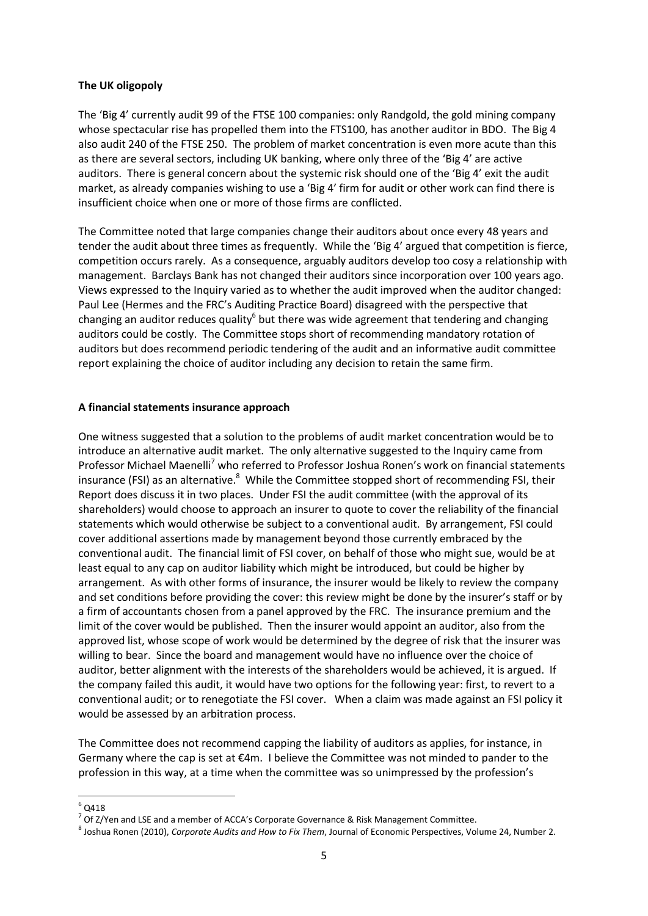### **The UK oligopoly**

The 'Big 4' currently audit 99 of the FTSE 100 companies: only Randgold, the gold mining company whose spectacular rise has propelled them into the FTS100, has another auditor in BDO. The Big 4 also audit 240 of the FTSE 250. The problem of market concentration is even more acute than this as there are several sectors, including UK banking, where only three of the 'Big 4' are active auditors. There is general concern about the systemic risk should one of the 'Big 4' exit the audit market, as already companies wishing to use a 'Big 4' firm for audit or other work can find there is insufficient choice when one or more of those firms are conflicted.

The Committee noted that large companies change their auditors about once every 48 years and tender the audit about three times as frequently. While the 'Big 4' argued that competition is fierce, competition occurs rarely. As a consequence, arguably auditors develop too cosy a relationship with management. Barclays Bank has not changed their auditors since incorporation over 100 years ago. Views expressed to the Inquiry varied as to whether the audit improved when the auditor changed: Paul Lee (Hermes and the FRC's Auditing Practice Board) disagreed with the perspective that changing an auditor reduces quality<sup>6</sup> but there was wide agreement that tendering and changing auditors could be costly. The Committee stops short of recommending mandatory rotation of auditors but does recommend periodic tendering of the audit and an informative audit committee report explaining the choice of auditor including any decision to retain the same firm.

### **A financial statements insurance approach**

One witness suggested that a solution to the problems of audit market concentration would be to introduce an alternative audit market. The only alternative suggested to the Inquiry came from Professor Michael Maenelli<sup>7</sup> who referred to Professor Joshua Ronen's work on financial statements insurance (FSI) as an alternative.<sup>8</sup> While the Committee stopped short of recommending FSI, their Report does discuss it in two places. Under FSI the audit committee (with the approval of its shareholders) would choose to approach an insurer to quote to cover the reliability of the financial statements which would otherwise be subject to a conventional audit. By arrangement, FSI could cover additional assertions made by management beyond those currently embraced by the conventional audit. The financial limit of FSI cover, on behalf of those who might sue, would be at least equal to any cap on auditor liability which might be introduced, but could be higher by arrangement. As with other forms of insurance, the insurer would be likely to review the company and set conditions before providing the cover: this review might be done by the insurer's staff or by a firm of accountants chosen from a panel approved by the FRC. The insurance premium and the limit of the cover would be published. Then the insurer would appoint an auditor, also from the approved list, whose scope of work would be determined by the degree of risk that the insurer was willing to bear. Since the board and management would have no influence over the choice of auditor, better alignment with the interests of the shareholders would be achieved, it is argued. If the company failed this audit, it would have two options for the following year: first, to revert to a conventional audit; or to renegotiate the FSI cover. When a claim was made against an FSI policy it would be assessed by an arbitration process.

The Committee does not recommend capping the liability of auditors as applies, for instance, in Germany where the cap is set at  $\epsilon$ 4m. I believe the Committee was not minded to pander to the profession in this way, at a time when the committee was so unimpressed by the profession's

 $\frac{1}{6}$ Q418

 $^7$  Of Z/Yen and LSE and a member of ACCA's Corporate Governance & Risk Management Committee.

<sup>8</sup> Joshua Ronen (2010), *Corporate Audits and How to Fix Them*, Journal of Economic Perspectives, Volume 24, Number 2.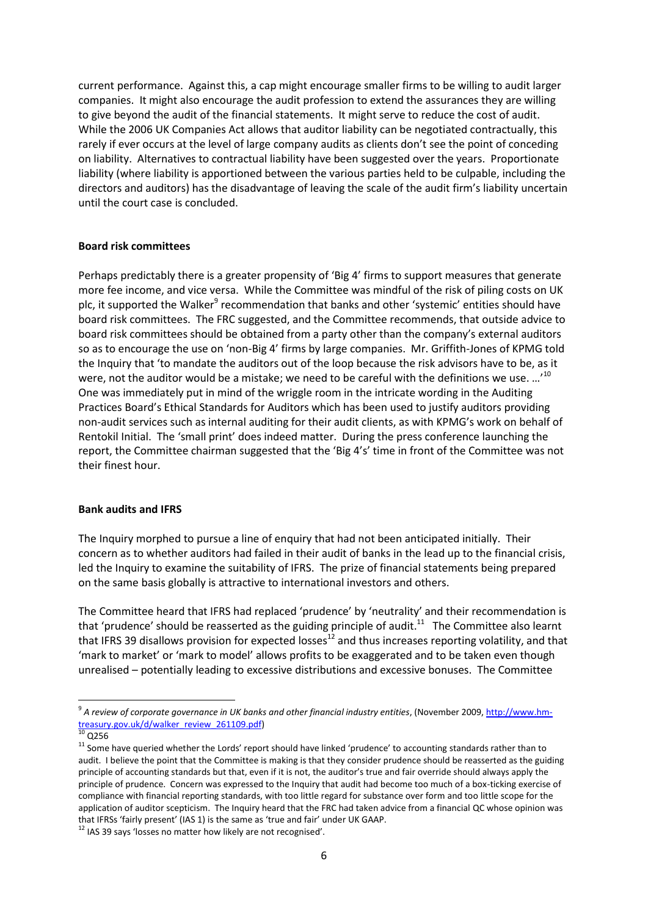current performance. Against this, a cap might encourage smaller firms to be willing to audit larger companies. It might also encourage the audit profession to extend the assurances they are willing to give beyond the audit of the financial statements. It might serve to reduce the cost of audit. While the 2006 UK Companies Act allows that auditor liability can be negotiated contractually, this rarely if ever occurs at the level of large company audits as clients don't see the point of conceding on liability. Alternatives to contractual liability have been suggested over the years. Proportionate liability (where liability is apportioned between the various parties held to be culpable, including the directors and auditors) has the disadvantage of leaving the scale of the audit firm's liability uncertain until the court case is concluded.

### **Board risk committees**

Perhaps predictably there is a greater propensity of 'Big 4' firms to support measures that generate more fee income, and vice versa. While the Committee was mindful of the risk of piling costs on UK plc, it supported the Walker<sup>9</sup> recommendation that banks and other 'systemic' entities should have board risk committees. The FRC suggested, and the Committee recommends, that outside advice to board risk committees should be obtained from a party other than the company's external auditors so as to encourage the use on 'non-Big 4' firms by large companies. Mr. Griffith-Jones of KPMG told the Inquiry that 'to mandate the auditors out of the loop because the risk advisors have to be, as it were, not the auditor would be a mistake; we need to be careful with the definitions we use. ...'<sup>10</sup> One was immediately put in mind of the wriggle room in the intricate wording in the Auditing Practices Board's Ethical Standards for Auditors which has been used to justify auditors providing non-audit services such as internal auditing for their audit clients, as with KPMG's work on behalf of Rentokil Initial. The 'small print' does indeed matter. During the press conference launching the report, the Committee chairman suggested that the 'Big 4's' time in front of the Committee was not their finest hour.

### **Bank audits and IFRS**

The Inquiry morphed to pursue a line of enquiry that had not been anticipated initially. Their concern as to whether auditors had failed in their audit of banks in the lead up to the financial crisis, led the Inquiry to examine the suitability of IFRS. The prize of financial statements being prepared on the same basis globally is attractive to international investors and others.

The Committee heard that IFRS had replaced 'prudence' by 'neutrality' and their recommendation is that 'prudence' should be reasserted as the guiding principle of audit.<sup>11</sup> The Committee also learnt that IFRS 39 disallows provision for expected losses<sup>12</sup> and thus increases reporting volatility, and that 'mark to market' or 'mark to model' allows profits to be exaggerated and to be taken even though unrealised – potentially leading to excessive distributions and excessive bonuses. The Committee

**.** 

<sup>&</sup>lt;sup>9</sup> A review of corporate governance in UK banks and other financial industry entities, (November 2009, <u>http://www.hm-</u> [treasury.gov.uk/d/walker\\_review\\_261109.pdf\)](http://www.hm-treasury.gov.uk/d/walker_review_261109.pdf)

<sup>10</sup> Q256

<sup>&</sup>lt;sup>11</sup> Some have queried whether the Lords' report should have linked 'prudence' to accounting standards rather than to audit. I believe the point that the Committee is making is that they consider prudence should be reasserted as the guiding principle of accounting standards but that, even if it is not, the auditor's true and fair override should always apply the principle of prudence. Concern was expressed to the Inquiry that audit had become too much of a box-ticking exercise of compliance with financial reporting standards, with too little regard for substance over form and too little scope for the application of auditor scepticism. The Inquiry heard that the FRC had taken advice from a financial QC whose opinion was that IFRSs 'fairly present' (IAS 1) is the same as 'true and fair' under UK GAAP.

 $12$  IAS 39 says 'losses no matter how likely are not recognised'.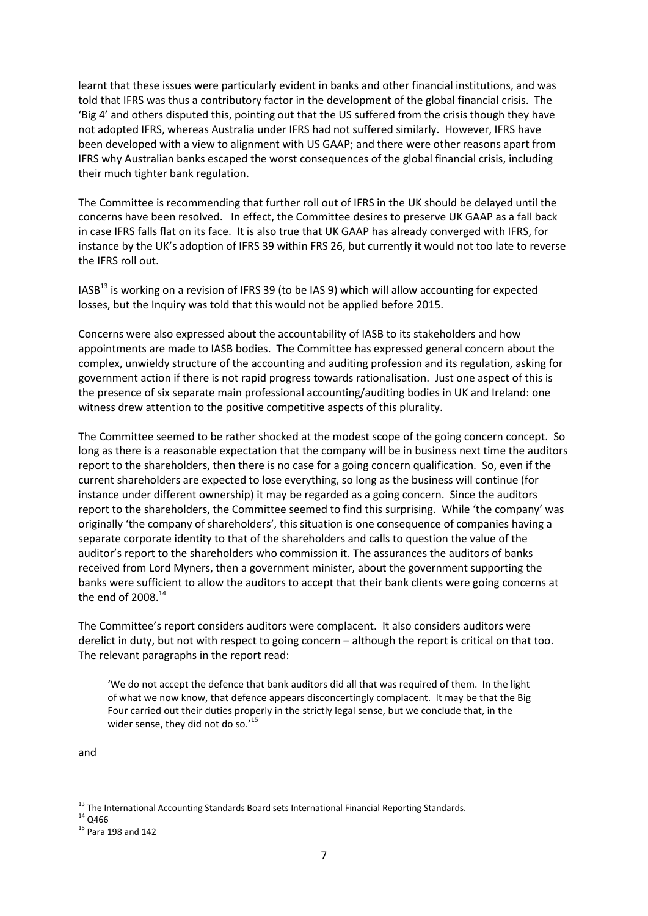learnt that these issues were particularly evident in banks and other financial institutions, and was told that IFRS was thus a contributory factor in the development of the global financial crisis. The 'Big 4' and others disputed this, pointing out that the US suffered from the crisis though they have not adopted IFRS, whereas Australia under IFRS had not suffered similarly. However, IFRS have been developed with a view to alignment with US GAAP; and there were other reasons apart from IFRS why Australian banks escaped the worst consequences of the global financial crisis, including their much tighter bank regulation.

The Committee is recommending that further roll out of IFRS in the UK should be delayed until the concerns have been resolved. In effect, the Committee desires to preserve UK GAAP as a fall back in case IFRS falls flat on its face. It is also true that UK GAAP has already converged with IFRS, for instance by the UK's adoption of IFRS 39 within FRS 26, but currently it would not too late to reverse the IFRS roll out.

IASB<sup>13</sup> is working on a revision of IFRS 39 (to be IAS 9) which will allow accounting for expected losses, but the Inquiry was told that this would not be applied before 2015.

Concerns were also expressed about the accountability of IASB to its stakeholders and how appointments are made to IASB bodies. The Committee has expressed general concern about the complex, unwieldy structure of the accounting and auditing profession and its regulation, asking for government action if there is not rapid progress towards rationalisation. Just one aspect of this is the presence of six separate main professional accounting/auditing bodies in UK and Ireland: one witness drew attention to the positive competitive aspects of this plurality.

The Committee seemed to be rather shocked at the modest scope of the going concern concept. So long as there is a reasonable expectation that the company will be in business next time the auditors report to the shareholders, then there is no case for a going concern qualification. So, even if the current shareholders are expected to lose everything, so long as the business will continue (for instance under different ownership) it may be regarded as a going concern. Since the auditors report to the shareholders, the Committee seemed to find this surprising. While 'the company' was originally 'the company of shareholders', this situation is one consequence of companies having a separate corporate identity to that of the shareholders and calls to question the value of the auditor's report to the shareholders who commission it. The assurances the auditors of banks received from Lord Myners, then a government minister, about the government supporting the banks were sufficient to allow the auditors to accept that their bank clients were going concerns at the end of  $2008.<sup>14</sup>$ 

The Committee's report considers auditors were complacent. It also considers auditors were derelict in duty, but not with respect to going concern – although the report is critical on that too. The relevant paragraphs in the report read:

'We do not accept the defence that bank auditors did all that was required of them. In the light of what we now know, that defence appears disconcertingly complacent. It may be that the Big Four carried out their duties properly in the strictly legal sense, but we conclude that, in the wider sense, they did not do so.'<sup>15</sup>

and

<sup>&</sup>lt;sup>13</sup> The International Accounting Standards Board sets International Financial Reporting Standards.

 $14$  Q466

<sup>15</sup> Para 198 and 142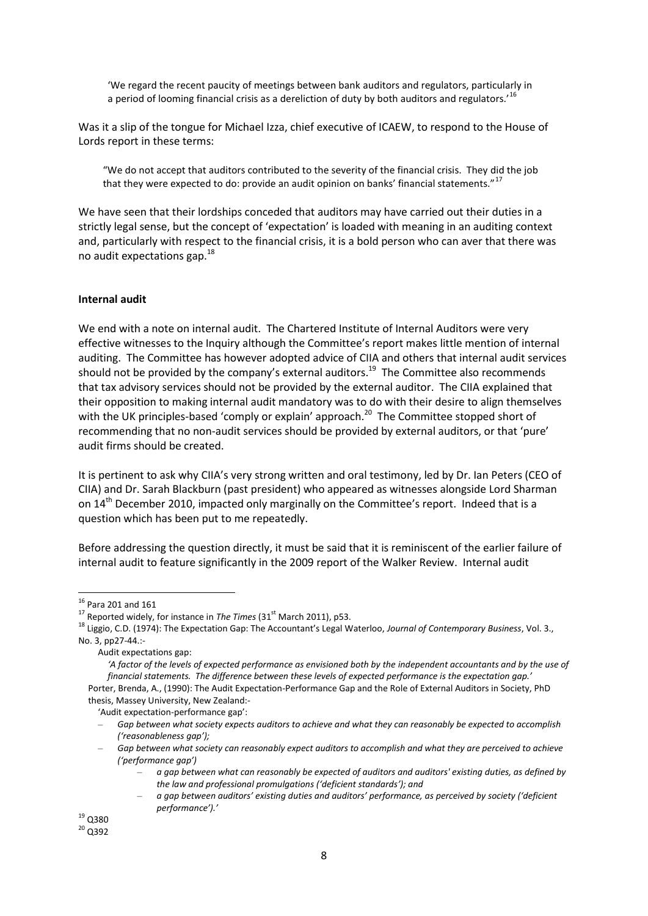'We regard the recent paucity of meetings between bank auditors and regulators, particularly in a period of looming financial crisis as a dereliction of duty by both auditors and regulators.<sup>11</sup>

Was it a slip of the tongue for Michael Izza, chief executive of ICAEW, to respond to the House of Lords report in these terms:

"We do not accept that auditors contributed to the severity of the financial crisis. They did the job that they were expected to do: provide an audit opinion on banks' financial statements."<sup>17</sup>

We have seen that their lordships conceded that auditors may have carried out their duties in a strictly legal sense, but the concept of 'expectation' is loaded with meaning in an auditing context and, particularly with respect to the financial crisis, it is a bold person who can aver that there was no audit expectations gap.<sup>18</sup>

### **Internal audit**

We end with a note on internal audit. The Chartered Institute of Internal Auditors were very effective witnesses to the Inquiry although the Committee's report makes little mention of internal auditing. The Committee has however adopted advice of CIIA and others that internal audit services should not be provided by the company's external auditors.<sup>19</sup> The Committee also recommends that tax advisory services should not be provided by the external auditor. The CIIA explained that their opposition to making internal audit mandatory was to do with their desire to align themselves with the UK principles-based 'comply or explain' approach.<sup>20</sup> The Committee stopped short of recommending that no non-audit services should be provided by external auditors, or that 'pure' audit firms should be created.

It is pertinent to ask why CIIA's very strong written and oral testimony, led by Dr. Ian Peters (CEO of CIIA) and Dr. Sarah Blackburn (past president) who appeared as witnesses alongside Lord Sharman on 14<sup>th</sup> December 2010, impacted only marginally on the Committee's report. Indeed that is a question which has been put to me repeatedly.

Before addressing the question directly, it must be said that it is reminiscent of the earlier failure of internal audit to feature significantly in the 2009 report of the Walker Review. Internal audit

'Audit expectation-performance gap':

<sup>1</sup>  $16$  Para 201 and 161

<sup>&</sup>lt;sup>17</sup> Reported widely, for instance in *The Times* (31<sup>st</sup> March 2011), p53.

<sup>18</sup> Liggio, C.D. (1974): The Expectation Gap: The Accountant's Legal Waterloo, *Journal of Contemporary Business*, Vol. 3., No. 3, pp27-44.:-

Audit expectations gap:

<sup>&#</sup>x27;A factor of the levels of expected performance as envisioned both by the independent accountants and by the use of *financial statements. The difference between these levels of expected performance is the expectation gap.'*

Porter, Brenda, A., (1990): The Audit Expectation-Performance Gap and the Role of External Auditors in Society, PhD thesis, Massey University, New Zealand:-

<sup>–</sup> *Gap between what society expects auditors to achieve and what they can reasonably be expected to accomplish ('reasonableness gap');*

<sup>–</sup> *Gap between what society can reasonably expect auditors to accomplish and what they are perceived to achieve ('performance gap')*

<sup>–</sup> *a gap between what can reasonably be expected of auditors and auditors' existing duties, as defined by the law and professional promulgations ('deficient standards'); and*

<sup>–</sup> *a gap between auditors' existing duties and auditors' performance, as perceived by society ('deficient performance').'*

<sup>19</sup> Q380

 $20$  Q392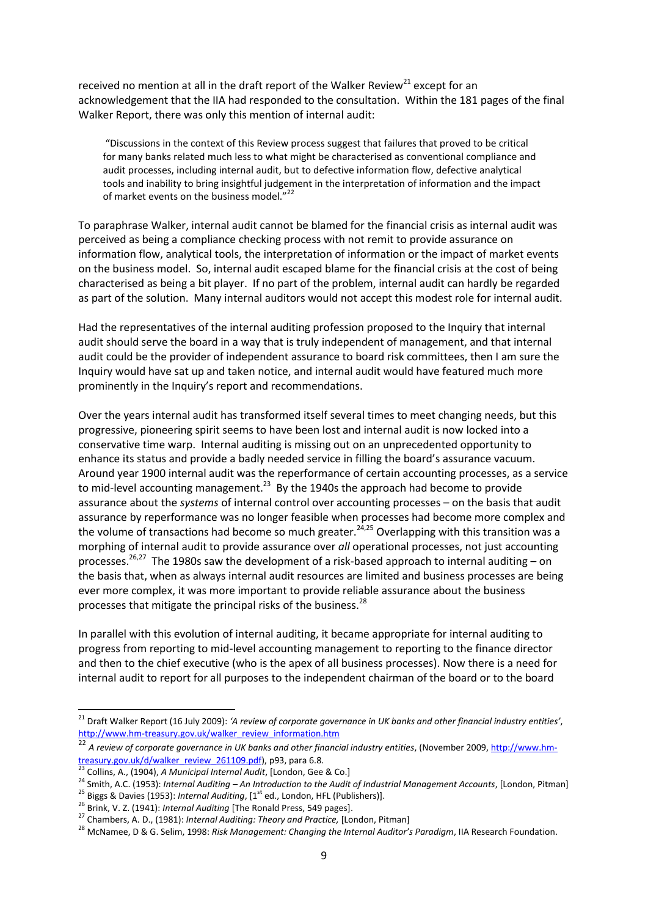received no mention at all in the draft report of the Walker Review<sup>21</sup> except for an acknowledgement that the IIA had responded to the consultation. Within the 181 pages of the final Walker Report, there was only this mention of internal audit:

"Discussions in the context of this Review process suggest that failures that proved to be critical for many banks related much less to what might be characterised as conventional compliance and audit processes, including internal audit, but to defective information flow, defective analytical tools and inability to bring insightful judgement in the interpretation of information and the impact of market events on the business model."<sup>22</sup>

To paraphrase Walker, internal audit cannot be blamed for the financial crisis as internal audit was perceived as being a compliance checking process with not remit to provide assurance on information flow, analytical tools, the interpretation of information or the impact of market events on the business model. So, internal audit escaped blame for the financial crisis at the cost of being characterised as being a bit player. If no part of the problem, internal audit can hardly be regarded as part of the solution. Many internal auditors would not accept this modest role for internal audit.

Had the representatives of the internal auditing profession proposed to the Inquiry that internal audit should serve the board in a way that is truly independent of management, and that internal audit could be the provider of independent assurance to board risk committees, then I am sure the Inquiry would have sat up and taken notice, and internal audit would have featured much more prominently in the Inquiry's report and recommendations.

Over the years internal audit has transformed itself several times to meet changing needs, but this progressive, pioneering spirit seems to have been lost and internal audit is now locked into a conservative time warp. Internal auditing is missing out on an unprecedented opportunity to enhance its status and provide a badly needed service in filling the board's assurance vacuum. Around year 1900 internal audit was the reperformance of certain accounting processes, as a service to mid-level accounting management. $^{23}$  By the 1940s the approach had become to provide assurance about the *systems* of internal control over accounting processes – on the basis that audit assurance by reperformance was no longer feasible when processes had become more complex and the volume of transactions had become so much greater.<sup>24,25</sup> Overlapping with this transition was a morphing of internal audit to provide assurance over *all* operational processes, not just accounting processes.<sup>26,27</sup> The 1980s saw the development of a risk-based approach to internal auditing – on the basis that, when as always internal audit resources are limited and business processes are being ever more complex, it was more important to provide reliable assurance about the business processes that mitigate the principal risks of the business.<sup>28</sup>

In parallel with this evolution of internal auditing, it became appropriate for internal auditing to progress from reporting to mid-level accounting management to reporting to the finance director and then to the chief executive (who is the apex of all business processes). Now there is a need for internal audit to report for all purposes to the independent chairman of the board or to the board

**.** 

<sup>21</sup> Draft Walker Report (16 July 2009): *'A review of corporate governance in UK banks and other financial industry entities'*, [http://www.hm-treasury.gov.uk/walker\\_review\\_information.htm](http://www.hm-treasury.gov.uk/walker_review_information.htm)

<sup>&</sup>lt;sup>22</sup> A review of corporate governance in UK banks and other financial industry entities, (November 2009[, http://www.hm](http://www.hm-treasury.gov.uk/d/walker_review_261109.pdf)[treasury.gov.uk/d/walker\\_review\\_261109.pdf\)](http://www.hm-treasury.gov.uk/d/walker_review_261109.pdf), p93, para 6.8.

<sup>23</sup> Collins, A., (1904), *A Municipal Internal Audit*, [London, Gee & Co.]

<sup>24</sup> Smith, A.C. (1953): *Internal Auditing – An Introduction to the Audit of Industrial Management Accounts*, [London, Pitman]

<sup>&</sup>lt;sup>25</sup> Biggs & Davies (1953): *Internal Auditing*, [1<sup>st</sup> ed., London, HFL (Publishers)]. <sup>26</sup> Brink, V. Z. (1941): *Internal Auditing* [The Ronald Press, 549 pages].

<sup>27</sup> Chambers, A. D., (1981): *Internal Auditing: Theory and Practice,* [London, Pitman]

<sup>28</sup> McNamee, D & G. Selim, 1998: *Risk Management: Changing the Internal Auditor's Paradigm*, IIA Research Foundation.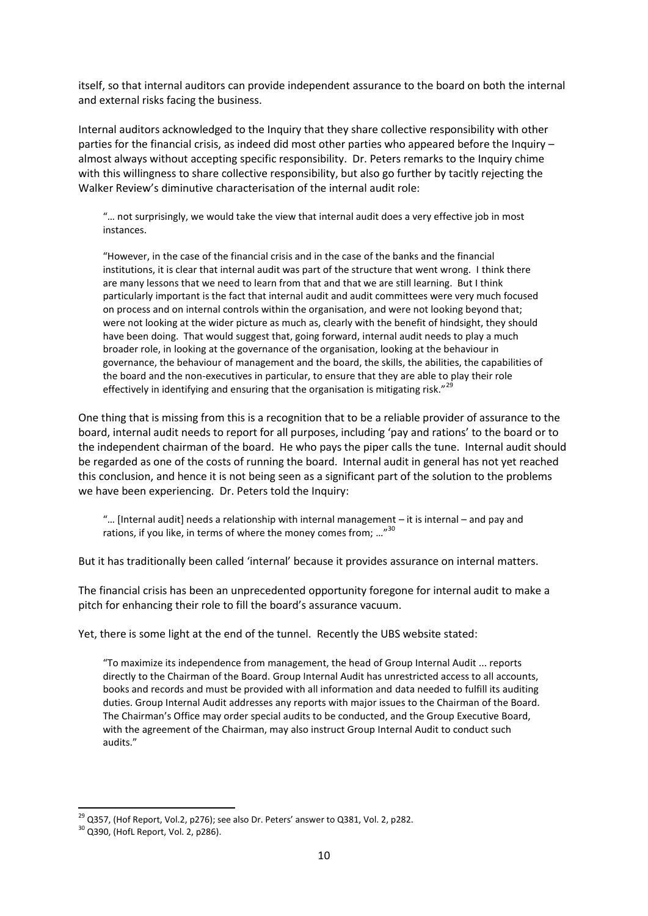itself, so that internal auditors can provide independent assurance to the board on both the internal and external risks facing the business.

Internal auditors acknowledged to the Inquiry that they share collective responsibility with other parties for the financial crisis, as indeed did most other parties who appeared before the Inquiry – almost always without accepting specific responsibility. Dr. Peters remarks to the Inquiry chime with this willingness to share collective responsibility, but also go further by tacitly rejecting the Walker Review's diminutive characterisation of the internal audit role:

"… not surprisingly, we would take the view that internal audit does a very effective job in most instances.

"However, in the case of the financial crisis and in the case of the banks and the financial institutions, it is clear that internal audit was part of the structure that went wrong. I think there are many lessons that we need to learn from that and that we are still learning. But I think particularly important is the fact that internal audit and audit committees were very much focused on process and on internal controls within the organisation, and were not looking beyond that; were not looking at the wider picture as much as, clearly with the benefit of hindsight, they should have been doing. That would suggest that, going forward, internal audit needs to play a much broader role, in looking at the governance of the organisation, looking at the behaviour in governance, the behaviour of management and the board, the skills, the abilities, the capabilities of the board and the non-executives in particular, to ensure that they are able to play their role effectively in identifying and ensuring that the organisation is mitigating risk."<sup>29</sup>

One thing that is missing from this is a recognition that to be a reliable provider of assurance to the board, internal audit needs to report for all purposes, including 'pay and rations' to the board or to the independent chairman of the board. He who pays the piper calls the tune. Internal audit should be regarded as one of the costs of running the board. Internal audit in general has not yet reached this conclusion, and hence it is not being seen as a significant part of the solution to the problems we have been experiencing. Dr. Peters told the Inquiry:

"... [Internal audit] needs a relationship with internal management – it is internal – and pay and rations, if you like, in terms of where the money comes from;  $...\right.^{30}$ 

But it has traditionally been called 'internal' because it provides assurance on internal matters.

The financial crisis has been an unprecedented opportunity foregone for internal audit to make a pitch for enhancing their role to fill the board's assurance vacuum.

Yet, there is some light at the end of the tunnel. Recently the UBS website stated:

"To maximize its independence from management, the head of Group Internal Audit ... reports directly to the Chairman of the Board. Group Internal Audit has unrestricted access to all accounts, books and records and must be provided with all information and data needed to fulfill its auditing duties. Group Internal Audit addresses any reports with major issues to the Chairman of the Board. The Chairman's Office may order special audits to be conducted, and the Group Executive Board, with the agreement of the Chairman, may also instruct Group Internal Audit to conduct such audits."

**.** 

 $^{29}$  Q357, (Hof Report, Vol.2, p276); see also Dr. Peters' answer to Q381, Vol. 2, p282.

 $30$  Q390, (HofL Report, Vol. 2, p286).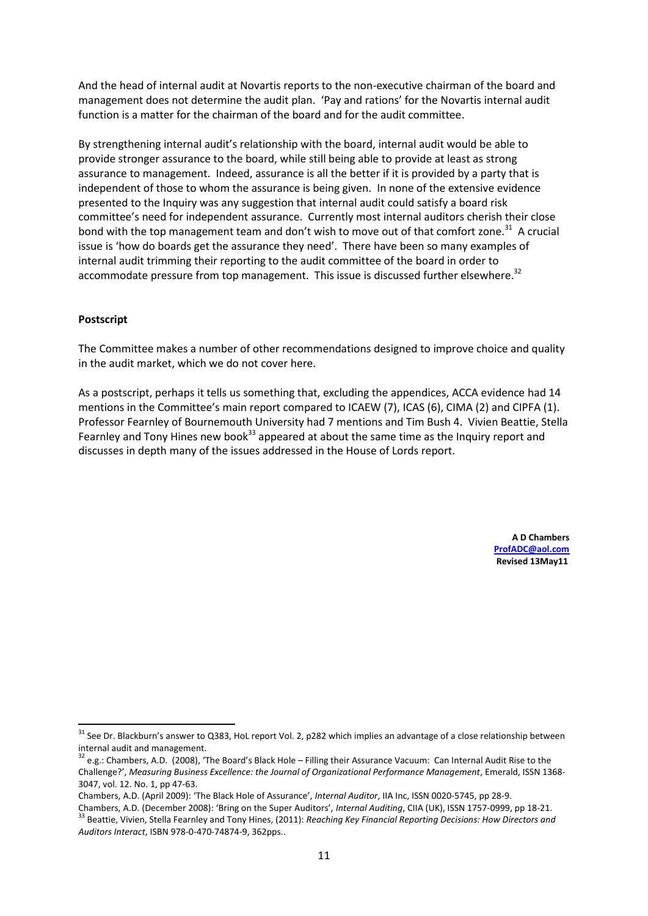And the head of internal audit at Novartis reports to the non-executive chairman of the board and management does not determine the audit plan. 'Pay and rations' for the Novartis internal audit function is a matter for the chairman of the board and for the audit committee.

By strengthening internal audit's relationship with the board, internal audit would be able to provide stronger assurance to the board, while still being able to provide at least as strong assurance to management. Indeed, assurance is all the better if it is provided by a party that is independent of those to whom the assurance is being given. In none of the extensive evidence presented to the Inquiry was any suggestion that internal audit could satisfy a board risk committee's need for independent assurance. Currently most internal auditors cherish their close bond with the top management team and don't wish to move out of that comfort zone.<sup>31</sup> A crucial issue is 'how do boards get the assurance they need'. There have been so many examples of internal audit trimming their reporting to the audit committee of the board in order to accommodate pressure from top management. This issue is discussed further elsewhere.<sup>32</sup>

### **Postscript**

**.** 

The Committee makes a number of other recommendations designed to improve choice and quality in the audit market, which we do not cover here.

As a postscript, perhaps it tells us something that, excluding the appendices, ACCA evidence had 14 mentions in the Committee's main report compared to ICAEW (7), ICAS (6), CIMA (2) and CIPFA (1). Professor Fearnley of Bournemouth University had 7 mentions and Tim Bush 4. Vivien Beattie, Stella Fearnley and Tony Hines new book<sup>33</sup> appeared at about the same time as the Inquiry report and discusses in depth many of the issues addressed in the House of Lords report.

> **A D Chambers [ProfADC@aol.com](mailto:ProfADC@aol.com) Revised 13May11**

<sup>&</sup>lt;sup>31</sup> See Dr. Blackburn's answer to Q383, HoL report Vol. 2, p282 which implies an advantage of a close relationship between internal audit and management.

<sup>&</sup>lt;sup>32</sup> e.g.: Chambers, A.D. (2008), 'The Board's Black Hole – Filling their Assurance Vacuum: Can Internal Audit Rise to the Challenge?', *Measuring Business Excellence: the Journal of Organizational Performance Management*, Emerald, ISSN 1368- 3047, vol. 12. No. 1, pp 47-63.

Chambers, A.D. (April 2009): 'The Black Hole of Assurance', *Internal Auditor*, IIA Inc, ISSN 0020-5745, pp 28-9.

Chambers, A.D. (December 2008): 'Bring on the Super Auditors', *Internal Auditing*, CIIA (UK), ISSN 1757-0999, pp 18-21. <sup>33</sup> Beattie, Vivien, Stella Fearnley and Tony Hines, (2011): *Reaching Key Financial Reporting Decisions: How Directors and Auditors Interact*, ISBN 978-0-470-74874-9, 362pps..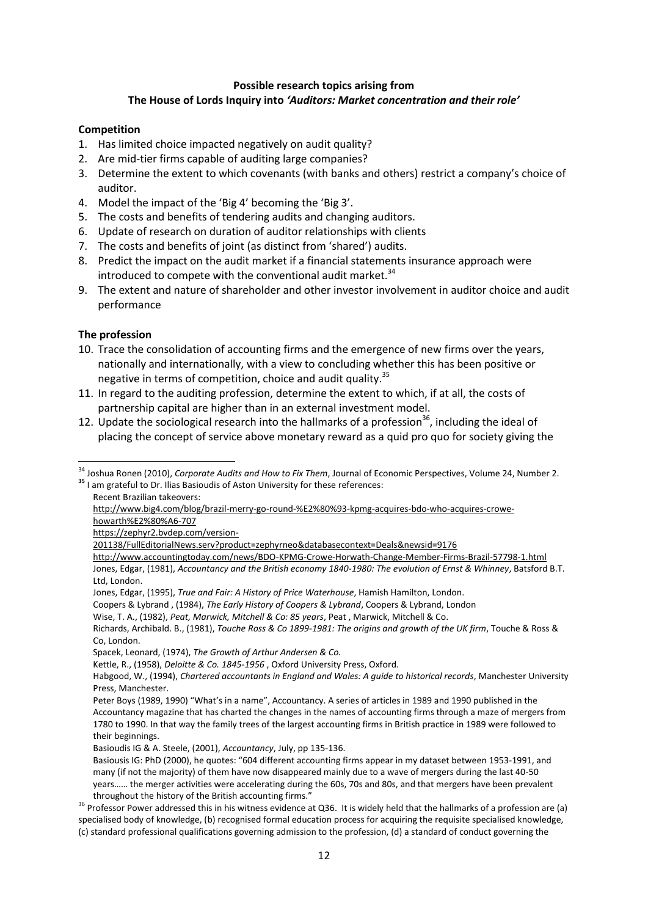### **Possible research topics arising from The House of Lords Inquiry into** *'Auditors: Market concentration and their role'*

### **Competition**

- 1. Has limited choice impacted negatively on audit quality?
- 2. Are mid-tier firms capable of auditing large companies?
- 3. Determine the extent to which covenants (with banks and others) restrict a company's choice of auditor.
- 4. Model the impact of the 'Big 4' becoming the 'Big 3'.
- 5. The costs and benefits of tendering audits and changing auditors.
- 6. Update of research on duration of auditor relationships with clients
- 7. The costs and benefits of joint (as distinct from 'shared') audits.
- 8. Predict the impact on the audit market if a financial statements insurance approach were introduced to compete with the conventional audit market. $34$
- 9. The extent and nature of shareholder and other investor involvement in auditor choice and audit performance

### **The profession**

**.** 

- 10. Trace the consolidation of accounting firms and the emergence of new firms over the years, nationally and internationally, with a view to concluding whether this has been positive or negative in terms of competition, choice and audit quality.<sup>35</sup>
- 11. In regard to the auditing profession, determine the extent to which, if at all, the costs of partnership capital are higher than in an external investment model.
- 12. Update the sociological research into the hallmarks of a profession<sup>36</sup>, including the ideal of placing the concept of service above monetary reward as a quid pro quo for society giving the

Recent Brazilian takeovers:

[http://www.big4.com/blog/brazil-merry-go-round-%E2%80%93-kpmg-acquires-bdo-who-acquires-crowe](http://www.big4.com/blog/brazil-merry-go-round-%E2%80%93-kpmg-acquires-bdo-who-acquires-crowe-howarth%E2%80%A6-707)[howarth%E2%80%A6-707](http://www.big4.com/blog/brazil-merry-go-round-%E2%80%93-kpmg-acquires-bdo-who-acquires-crowe-howarth%E2%80%A6-707)

[https://zephyr2.bvdep.com/version-](https://zephyr2.bvdep.com/version-201138/FullEditorialNews.serv?product=zephyrneo&databasecontext=Deals&newsid=9176)

Coopers & Lybrand , (1984), *The Early History of Coopers & Lybrand*, Coopers & Lybrand, London

Wise, T. A., (1982), *Peat, Marwick, Mitchell & Co: 85 years*, Peat , Marwick, Mitchell & Co.

<sup>34</sup> Joshua Ronen (2010), *Corporate Audits and How to Fix Them*, Journal of Economic Perspectives, Volume 24, Number 2. **<sup>35</sup>** I am grateful to Dr. Ilias Basioudis of Aston University for these references:

[<sup>201138/</sup>FullEditorialNews.serv?product=zephyrneo&databasecontext=Deals&newsid=9176](https://zephyr2.bvdep.com/version-201138/FullEditorialNews.serv?product=zephyrneo&databasecontext=Deals&newsid=9176)

<http://www.accountingtoday.com/news/BDO-KPMG-Crowe-Horwath-Change-Member-Firms-Brazil-57798-1.html> Jones, Edgar, (1981), *Accountancy and the British economy 1840-1980: The evolution of Ernst & Whinney*, Batsford B.T. Ltd, London.

Jones, Edgar, (1995), *True and Fair: A History of Price Waterhouse*, Hamish Hamilton, London.

Richards, Archibald. B., (1981), *Touche Ross & Co 1899-1981: The origins and growth of the UK firm*, Touche & Ross & Co, London.

Spacek, Leonard, (1974), *The Growth of Arthur Andersen & Co.*

Kettle, R., (1958), *Deloitte & Co. 1845-1956* , Oxford University Press, Oxford.

Habgood, W., (1994), *Chartered accountants in England and Wales: A guide to historical records*, Manchester University Press, Manchester.

Peter Boys (1989, 1990) "What's in a name", Accountancy. A series of articles in 1989 and 1990 published in the Accountancy magazine that has charted the changes in the names of accounting firms through a maze of mergers from 1780 to 1990. In that way the family trees of the largest accounting firms in British practice in 1989 were followed to their beginnings.

Basioudis IG & A. Steele, (2001), *Accountancy*, July, pp 135-136.

Basiousis IG: PhD (2000), he quotes: "604 different accounting firms appear in my dataset between 1953-1991, and many (if not the majority) of them have now disappeared mainly due to a wave of mergers during the last 40-50 years...... the merger activities were accelerating during the 60s, 70s and 80s, and that mergers have been prevalent throughout the history of the British accounting firms."

<sup>&</sup>lt;sup>36</sup> Professor Power addressed this in his witness evidence at Q36. It is widely held that the hallmarks of a profession are (a) specialised body of knowledge, (b) recognised formal education process for acquiring the requisite specialised knowledge, (c) standard professional qualifications governing admission to the profession, (d) a standard of conduct governing the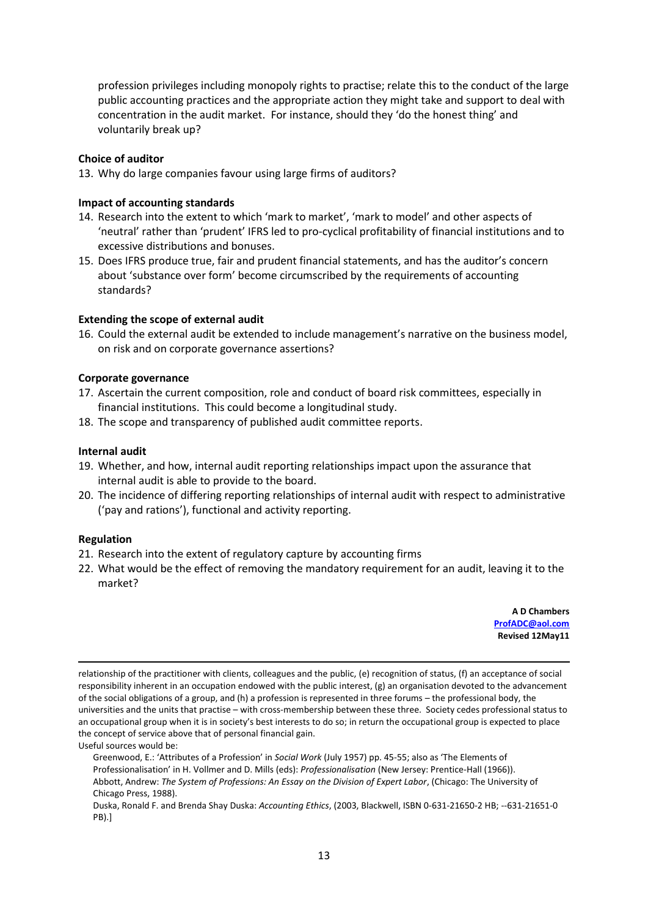profession privileges including monopoly rights to practise; relate this to the conduct of the large public accounting practices and the appropriate action they might take and support to deal with concentration in the audit market. For instance, should they 'do the honest thing' and voluntarily break up?

### **Choice of auditor**

13. Why do large companies favour using large firms of auditors?

### **Impact of accounting standards**

- 14. Research into the extent to which 'mark to market', 'mark to model' and other aspects of 'neutral' rather than 'prudent' IFRS led to pro-cyclical profitability of financial institutions and to excessive distributions and bonuses.
- 15. Does IFRS produce true, fair and prudent financial statements, and has the auditor's concern about 'substance over form' become circumscribed by the requirements of accounting standards?

### **Extending the scope of external audit**

16. Could the external audit be extended to include management's narrative on the business model, on risk and on corporate governance assertions?

### **Corporate governance**

- 17. Ascertain the current composition, role and conduct of board risk committees, especially in financial institutions. This could become a longitudinal study.
- 18. The scope and transparency of published audit committee reports.

### **Internal audit**

- 19. Whether, and how, internal audit reporting relationships impact upon the assurance that internal audit is able to provide to the board.
- 20. The incidence of differing reporting relationships of internal audit with respect to administrative ('pay and rations'), functional and activity reporting.

#### **Regulation**

**.** 

- 21. Research into the extent of regulatory capture by accounting firms
- 22. What would be the effect of removing the mandatory requirement for an audit, leaving it to the market?

**A D Chambers [ProfADC@aol.com](mailto:ProfADC@aol.com) Revised 12May11**

relationship of the practitioner with clients, colleagues and the public, (e) recognition of status, (f) an acceptance of social responsibility inherent in an occupation endowed with the public interest, (g) an organisation devoted to the advancement of the social obligations of a group, and (h) a profession is represented in three forums – the professional body, the universities and the units that practise – with cross-membership between these three. Society cedes professional status to an occupational group when it is in society's best interests to do so; in return the occupational group is expected to place the concept of service above that of personal financial gain.

Useful sources would be:

Greenwood, E.: 'Attributes of a Profession' in *Social Work* (July 1957) pp. 45-55; also as 'The Elements of Professionalisation' in H. Vollmer and D. Mills (eds): *Professionalisation* (New Jersey: Prentice-Hall (1966)). Abbott, Andrew: *The System of Professions: An Essay on the Division of Expert Labor*, (Chicago: The University of Chicago Press, 1988).

Duska, Ronald F. and Brenda Shay Duska: *Accounting Ethics*, (2003, Blackwell, ISBN 0-631-21650-2 HB; --631-21651-0 PB).]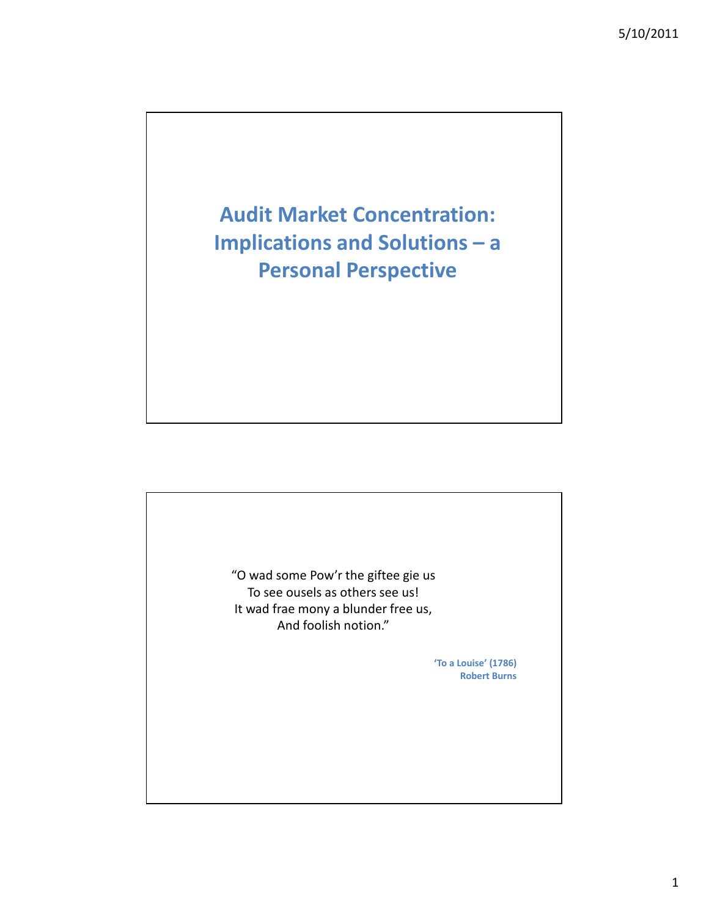**Audit Market Concentration: Implications and Solutions – a Personal Perspective**

"O wad some Pow'r the giftee gie us To see ousels as others see us! It wad frae mony a blunder free us, And foolish notion."

> **'To a Louise' (1786) Robert Burns**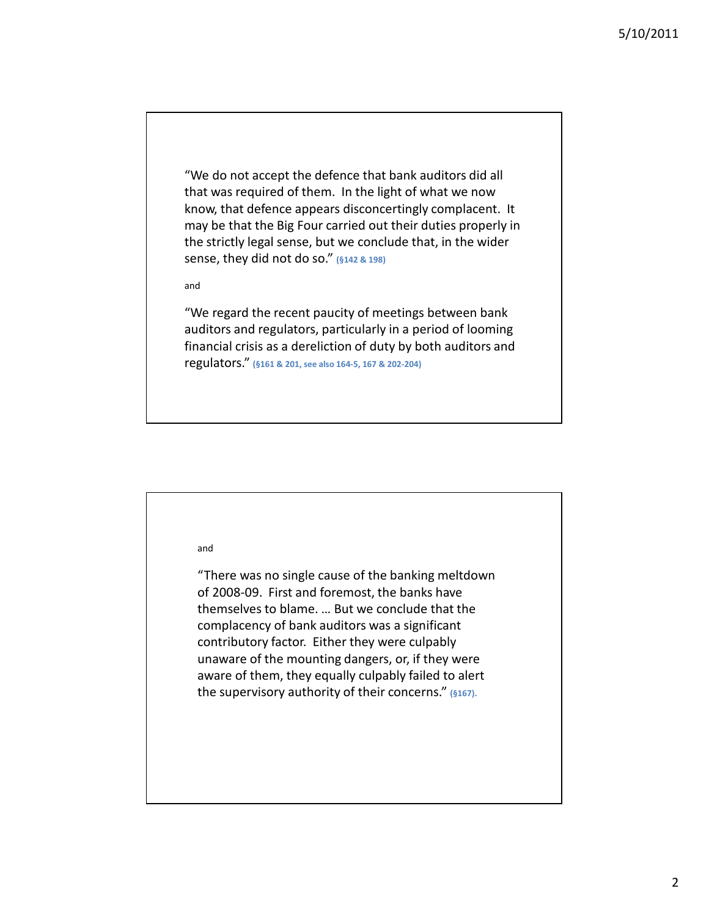"We do not accept the defence that bank auditors did all that was required of them. In the light of what we now know, that defence appears disconcertingly complacent. It may be that the Big Four carried out their duties properly in the strictly legal sense, but we conclude that, in the wider sense, they did not do so." **(§142 & 198)**

and

"We regard the recent paucity of meetings between bank auditors and regulators, particularly in a period of looming financial crisis as a dereliction of duty by both auditors and regulators." **(§161 & 201, see also 164-5, 167 & 202-204)**

and

"There was no single cause of the banking meltdown of 2008-09. First and foremost, the banks have themselves to blame. … But we conclude that the complacency of bank auditors was a significant contributory factor. Either they were culpably unaware of the mounting dangers, or, if they were aware of them, they equally culpably failed to alert the supervisory authority of their concerns." **(§167).**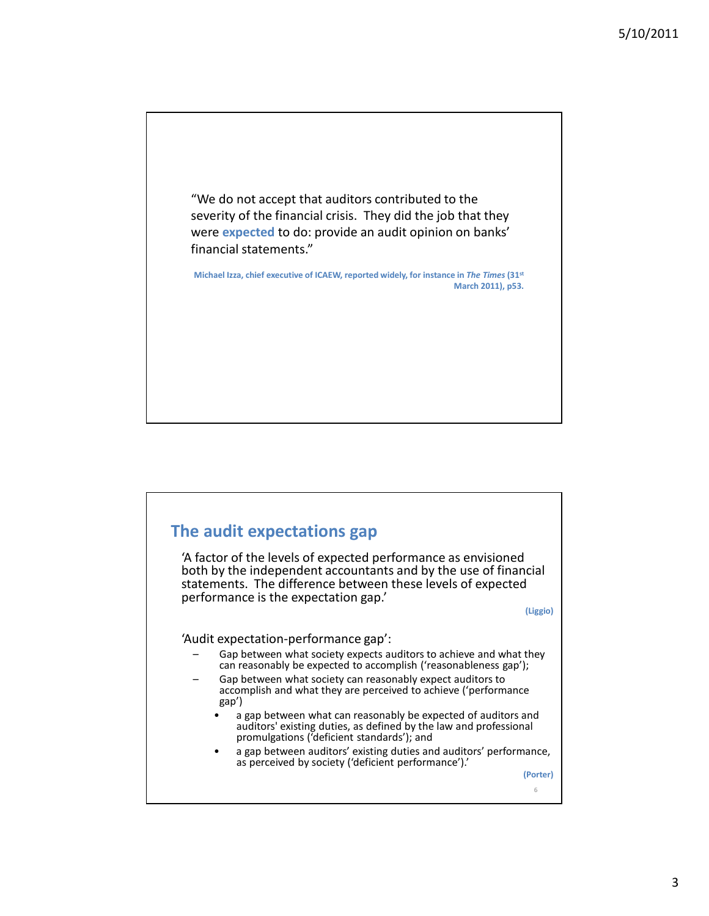"We do not accept that auditors contributed to the severity of the financial crisis. They did the job that they were **expected** to do: provide an audit opinion on banks' financial statements."

**Michael Izza, chief executive of ICAEW, reported widely, for instance in** *The Times* **(31st March 2011), p53.**

# **The audit expectations gap**

'A factor of the levels of expected performance as envisioned both by the independent accountants and by the use of financial statements. The difference between these levels of expected performance is the expectation gap.'

**(Liggio)**

'Audit expectation-performance gap':

- Gap between what society expects auditors to achieve and what they can reasonably be expected to accomplish ('reasonableness gap');
- Gap between what society can reasonably expect auditors to accomplish and what they are perceived to achieve ('performance gap')
	- a gap between what can reasonably be expected of auditors and auditors' existing duties, as defined by the law and professional promulgations ('deficient standards'); and
	- a gap between auditors' existing duties and auditors' performance, as perceived by society ('deficient performance').'

6 **(Porter)**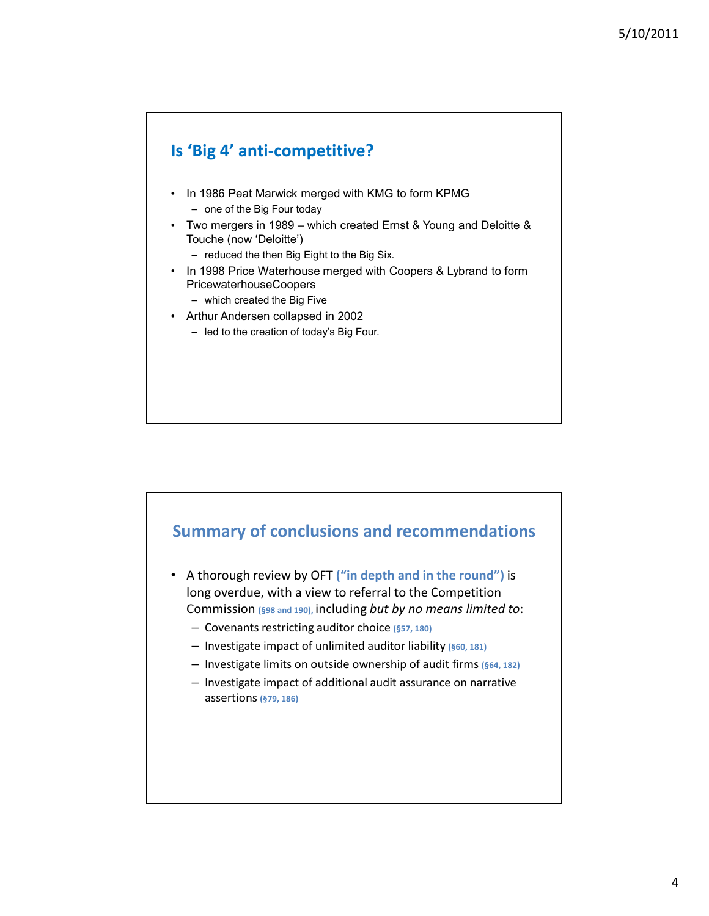

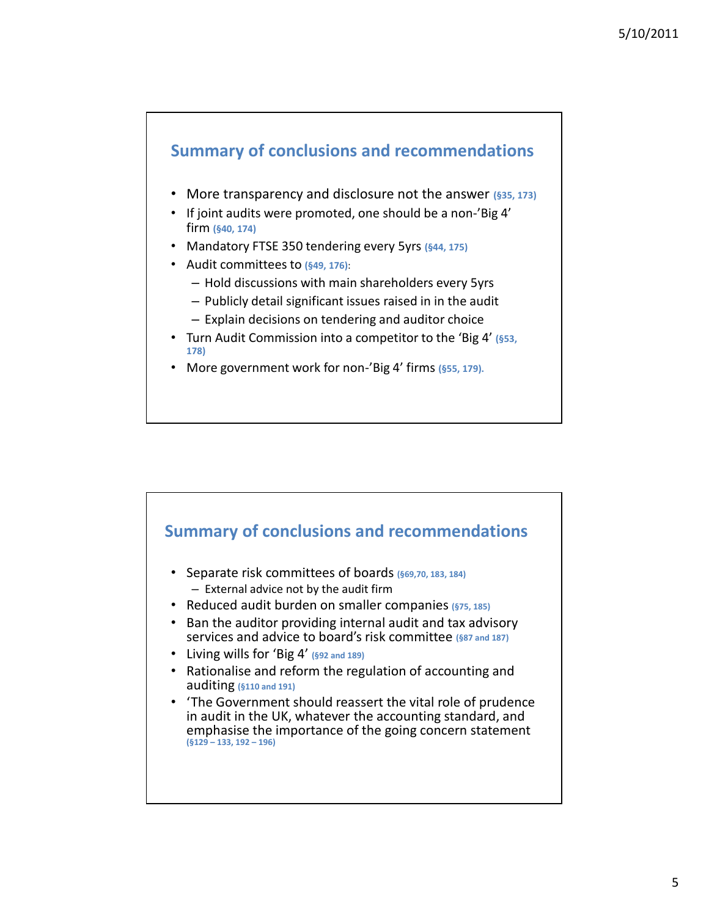

- More transparency and disclosure not the answer **(§35, 173)**
- If joint audits were promoted, one should be a non-'Big 4' firm **(§40, 174)**
- Mandatory FTSE 350 tendering every 5yrs **(§44, 175)**
- Audit committees to **(§49, 176)**:
	- Hold discussions with main shareholders every 5yrs
	- Publicly detail significant issues raised in in the audit
	- Explain decisions on tendering and auditor choice
- Turn Audit Commission into a competitor to the 'Big 4' **(§53, 178)**
- More government work for non-'Big 4' firms **(§55, 179).**

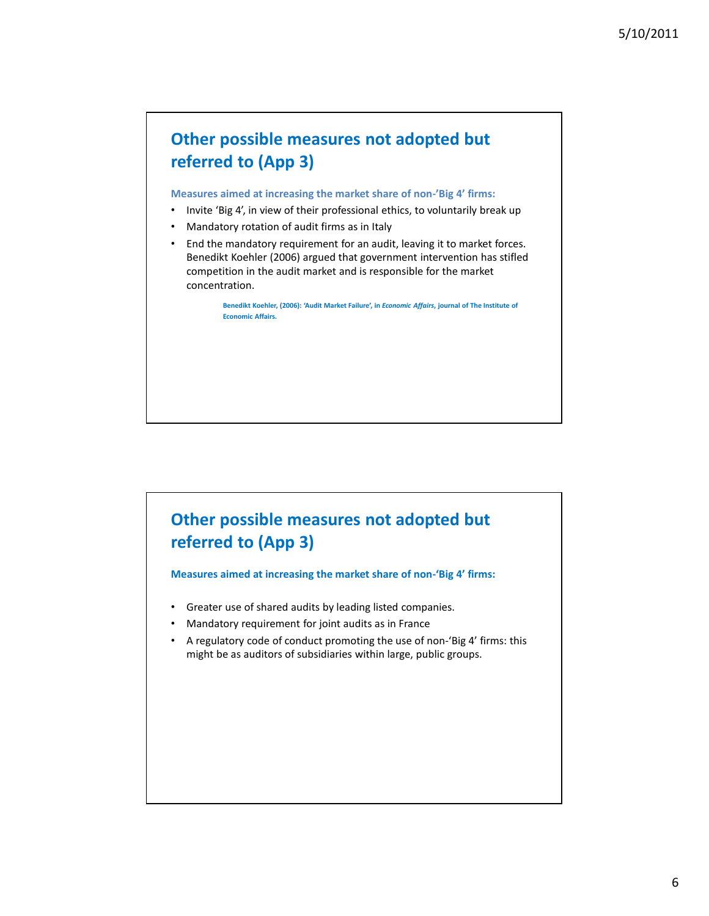**Measures aimed at increasing the market share of non-'Big 4' firms:**

- Invite 'Big 4', in view of their professional ethics, to voluntarily break up
- Mandatory rotation of audit firms as in Italy
- End the mandatory requirement for an audit, leaving it to market forces. Benedikt Koehler (2006) argued that government intervention has stifled competition in the audit market and is responsible for the market concentration.

**Benedikt Koehler, (2006): 'Audit Market Failure', in** *Economic Affairs***, journal of The Institute of Economic Affairs.**

# **Other possible measures not adopted but referred to (App 3)**

**Measures aimed at increasing the market share of non-'Big 4' firms:**

- Greater use of shared audits by leading listed companies.
- Mandatory requirement for joint audits as in France
- A regulatory code of conduct promoting the use of non-'Big 4' firms: this might be as auditors of subsidiaries within large, public groups.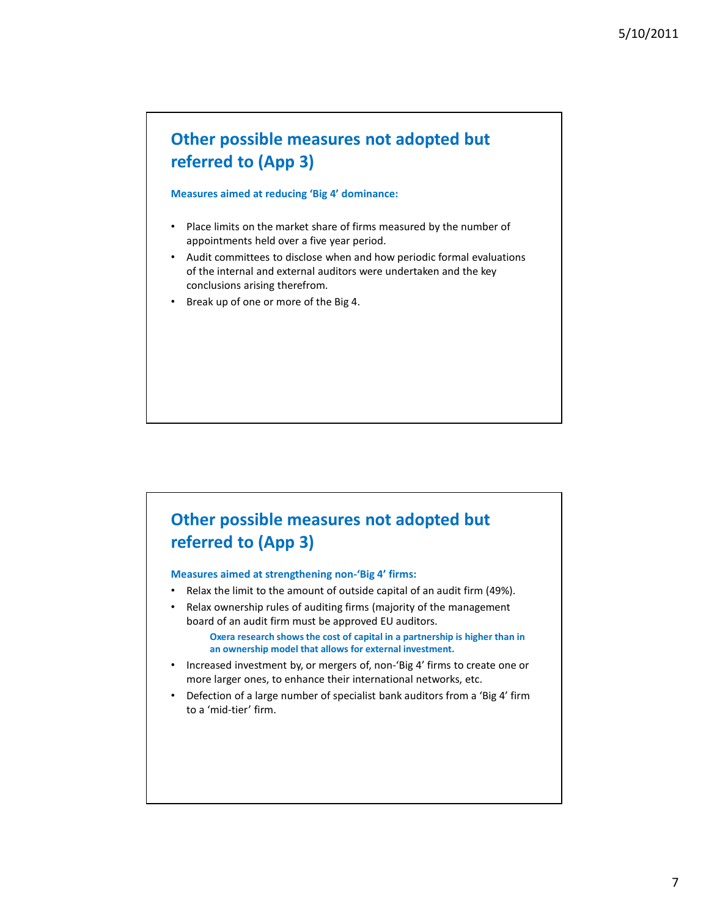#### **Measures aimed at reducing 'Big 4' dominance:**

- Place limits on the market share of firms measured by the number of appointments held over a five year period.
- Audit committees to disclose when and how periodic formal evaluations of the internal and external auditors were undertaken and the key conclusions arising therefrom.
- Break up of one or more of the Big 4.

# **Other possible measures not adopted but referred to (App 3)**

**Measures aimed at strengthening non-'Big 4' firms:**

- Relax the limit to the amount of outside capital of an audit firm (49%).
- Relax ownership rules of auditing firms (majority of the management board of an audit firm must be approved EU auditors.

**Oxera research shows the cost of capital in a partnership is higher than in an ownership model that allows for external investment.**

- Increased investment by, or mergers of, non-'Big 4' firms to create one or more larger ones, to enhance their international networks, etc.
- Defection of a large number of specialist bank auditors from a 'Big 4' firm to a 'mid-tier' firm.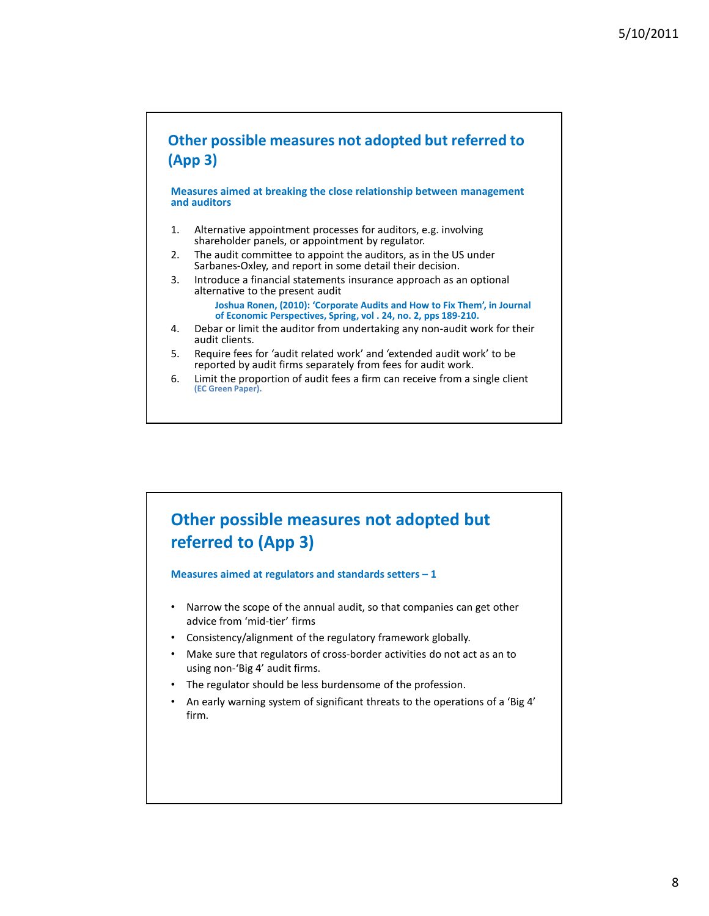**Measures aimed at breaking the close relationship between management and auditors**

- 1. Alternative appointment processes for auditors, e.g. involving shareholder panels, or appointment by regulator.
- 2. The audit committee to appoint the auditors, as in the US under Sarbanes-Oxley, and report in some detail their decision.
- 3. Introduce a financial statements insurance approach as an optional alternative to the present audit

**Joshua Ronen, (2010): 'Corporate Audits and How to Fix Them', in Journal of Economic Perspectives, Spring, vol . 24, no. 2, pps 189-210.**

- 4. Debar or limit the auditor from undertaking any non-audit work for their audit clients.
- 5. Require fees for 'audit related work' and 'extended audit work' to be reported by audit firms separately from fees for audit work.
- 6. Limit the proportion of audit fees a firm can receive from a single client **(EC Green Paper).**

# **Other possible measures not adopted but referred to (App 3)**

**Measures aimed at regulators and standards setters – 1**

- Narrow the scope of the annual audit, so that companies can get other advice from 'mid-tier' firms
- Consistency/alignment of the regulatory framework globally.
- Make sure that regulators of cross-border activities do not act as an to using non-'Big 4' audit firms.
- The regulator should be less burdensome of the profession.
- An early warning system of significant threats to the operations of a 'Big 4' firm.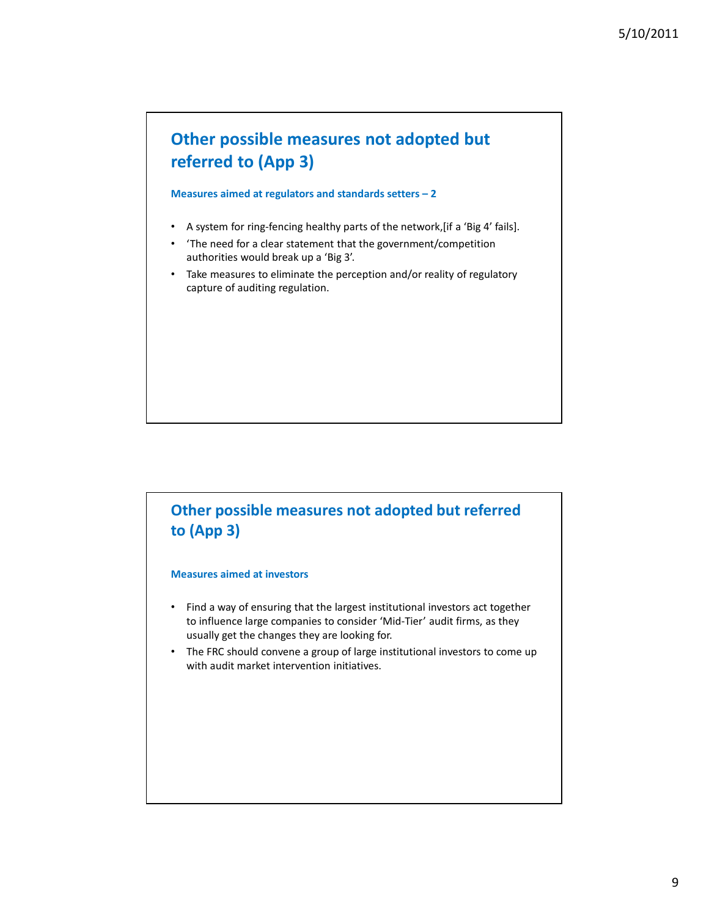#### **Measures aimed at regulators and standards setters – 2**

- A system for ring-fencing healthy parts of the network,[if a 'Big 4' fails].
- 'The need for a clear statement that the government/competition authorities would break up a 'Big 3'.
- Take measures to eliminate the perception and/or reality of regulatory capture of auditing regulation.

# **Other possible measures not adopted but referred to (App 3)**

#### **Measures aimed at investors**

- Find a way of ensuring that the largest institutional investors act together to influence large companies to consider 'Mid-Tier' audit firms, as they usually get the changes they are looking for.
- The FRC should convene a group of large institutional investors to come up with audit market intervention initiatives.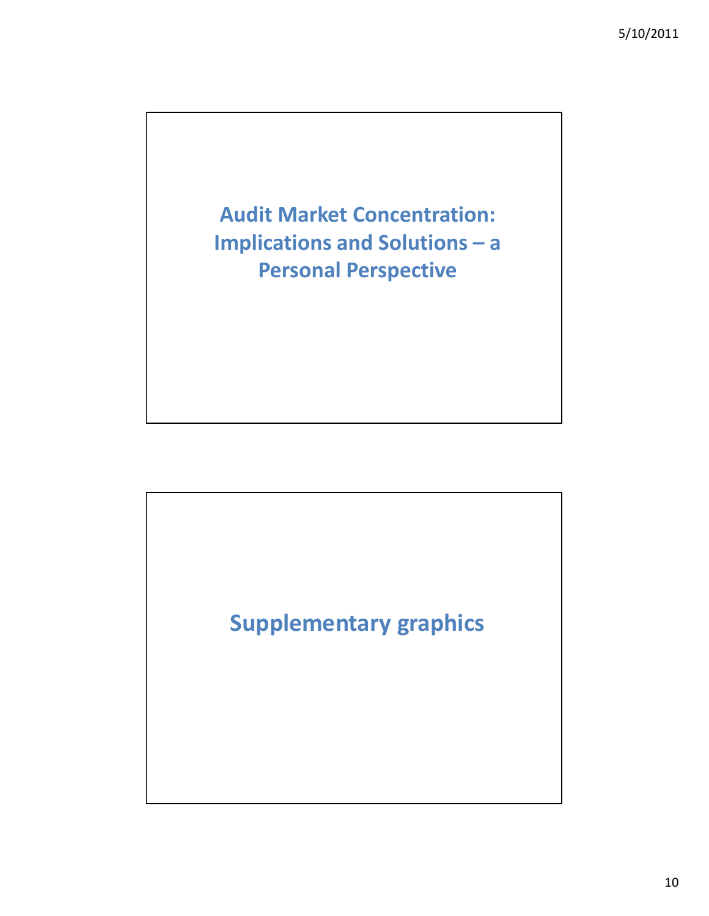**Audit Market Concentration: Implications and Solutions – a Personal Perspective**

**Supplementary graphics**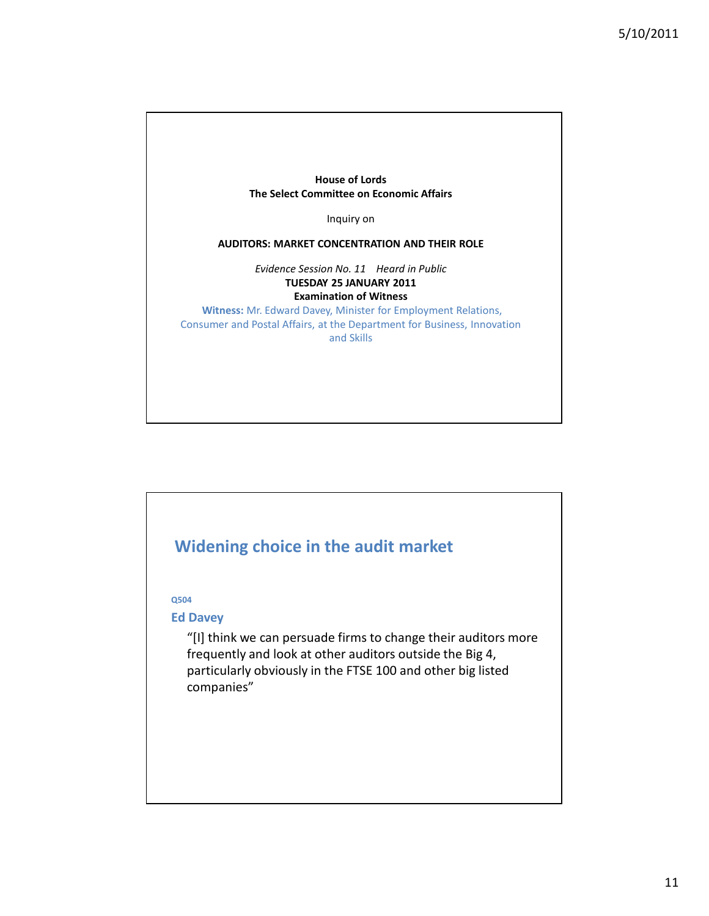



## **Q504**

### **Ed Davey**

"[I] think we can persuade firms to change their auditors more frequently and look at other auditors outside the Big 4, particularly obviously in the FTSE 100 and other big listed companies"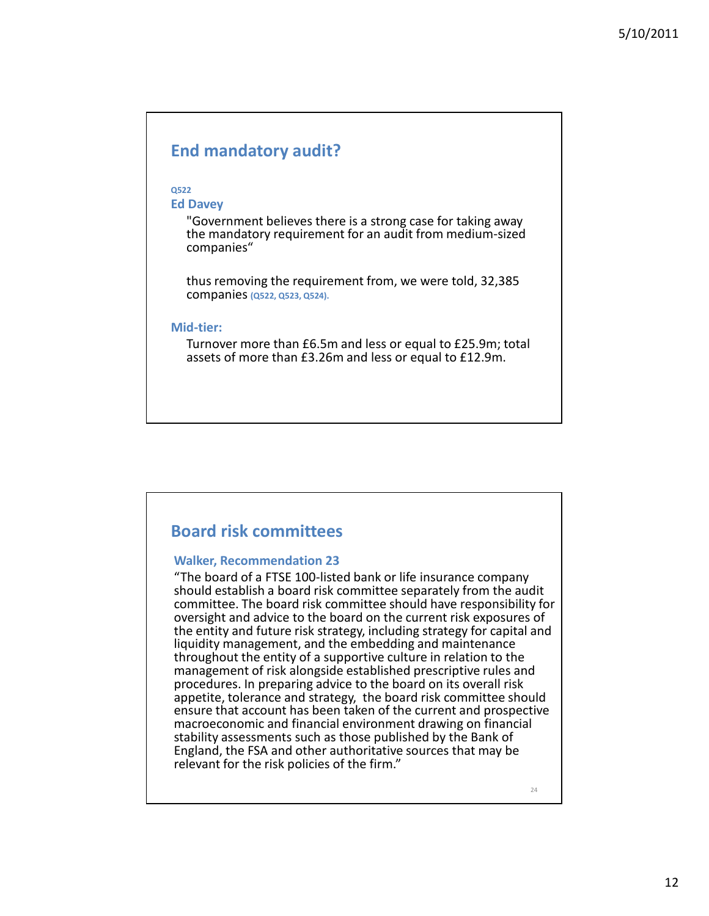## **End mandatory audit?**

### **Q522**

### **Ed Davey**

"Government believes there is a strong case for taking away the mandatory requirement for an audit from medium-sized companies"

thus removing the requirement from, we were told, 32,385 companies **(Q522, Q523, Q524).**

### **Mid-tier:**

Turnover more than £6.5m and less or equal to £25.9m; total assets of more than £3.26m and less or equal to £12.9m.

# **Board risk committees**

### **Walker, Recommendation 23**

"The board of a FTSE 100-listed bank or life insurance company should establish a board risk committee separately from the audit committee. The board risk committee should have responsibility for oversight and advice to the board on the current risk exposures of the entity and future risk strategy, including strategy for capital and liquidity management, and the embedding and maintenance throughout the entity of a supportive culture in relation to the management of risk alongside established prescriptive rules and procedures. In preparing advice to the board on its overall risk appetite, tolerance and strategy, the board risk committee should ensure that account has been taken of the current and prospective macroeconomic and financial environment drawing on financial stability assessments such as those published by the Bank of England, the FSA and other authoritative sources that may be relevant for the risk policies of the firm."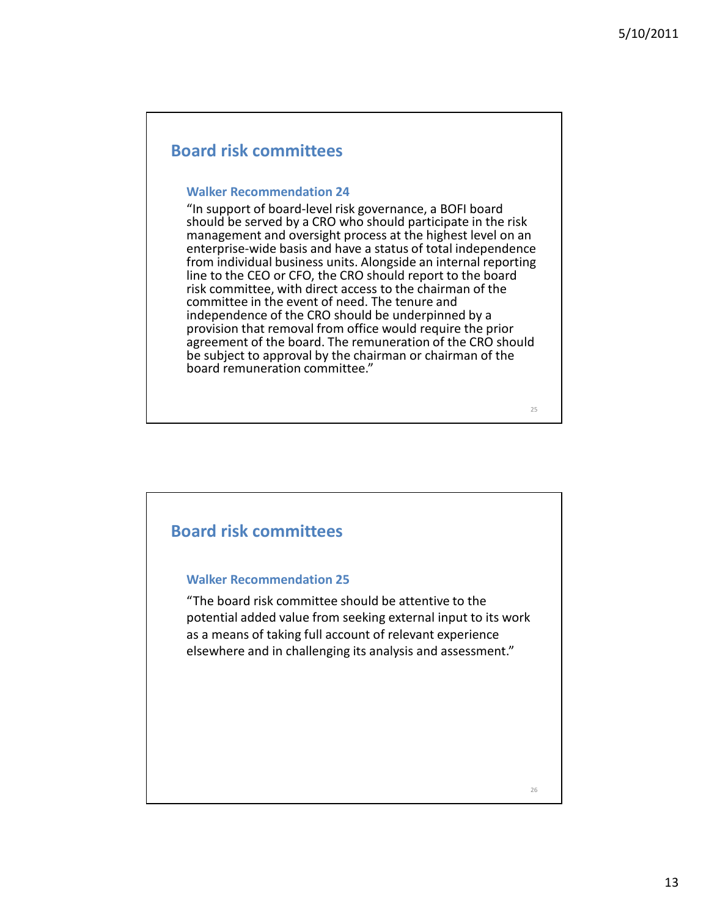### **Walker Recommendation 24**

"In support of board-level risk governance, a BOFI board should be served by a CRO who should participate in the risk management and oversight process at the highest level on an enterprise-wide basis and have a status of total independence from individual business units. Alongside an internal reporting line to the CEO or CFO, the CRO should report to the board risk committee, with direct access to the chairman of the committee in the event of need. The tenure and independence of the CRO should be underpinned by a provision that removal from office would require the prior agreement of the board. The remuneration of the CRO should be subject to approval by the chairman or chairman of the board remuneration committee."

25

# **Board risk committees**

### **Walker Recommendation 25**

"The board risk committee should be attentive to the potential added value from seeking external input to its work as a means of taking full account of relevant experience elsewhere and in challenging its analysis and assessment."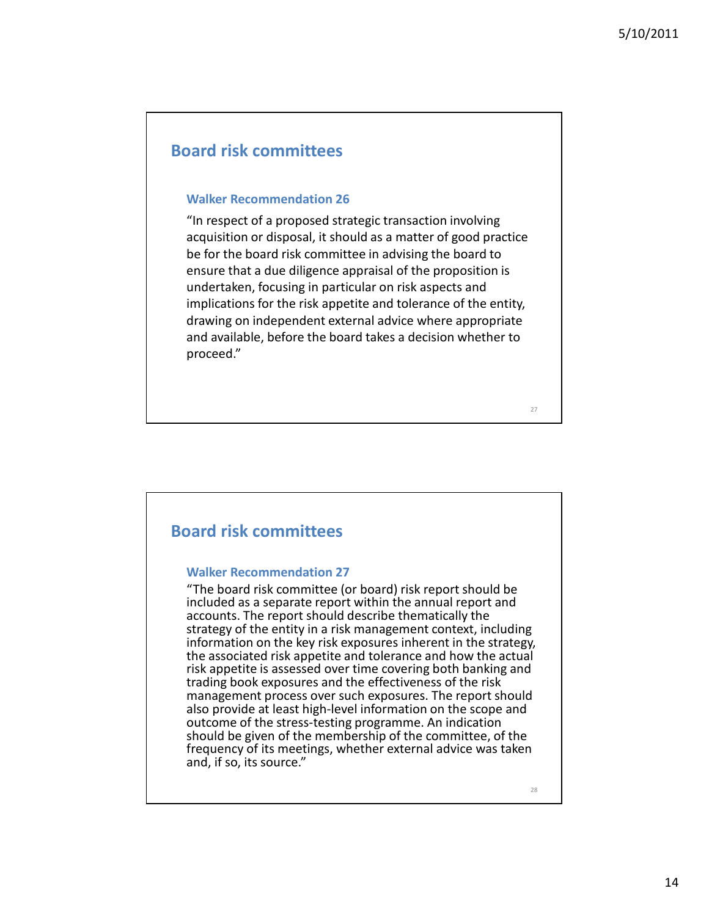### **Walker Recommendation 26**

"In respect of a proposed strategic transaction involving acquisition or disposal, it should as a matter of good practice be for the board risk committee in advising the board to ensure that a due diligence appraisal of the proposition is undertaken, focusing in particular on risk aspects and implications for the risk appetite and tolerance of the entity, drawing on independent external advice where appropriate and available, before the board takes a decision whether to proceed."

27

# **Board risk committees**

### **Walker Recommendation 27**

"The board risk committee (or board) risk report should be included as a separate report within the annual report and accounts. The report should describe thematically the strategy of the entity in a risk management context, including information on the key risk exposures inherent in the strategy, the associated risk appetite and tolerance and how the actual risk appetite is assessed over time covering both banking and trading book exposures and the effectiveness of the risk management process over such exposures. The report should also provide at least high-level information on the scope and outcome of the stress-testing programme. An indication should be given of the membership of the committee, of the frequency of its meetings, whether external advice was taken and, if so, its source."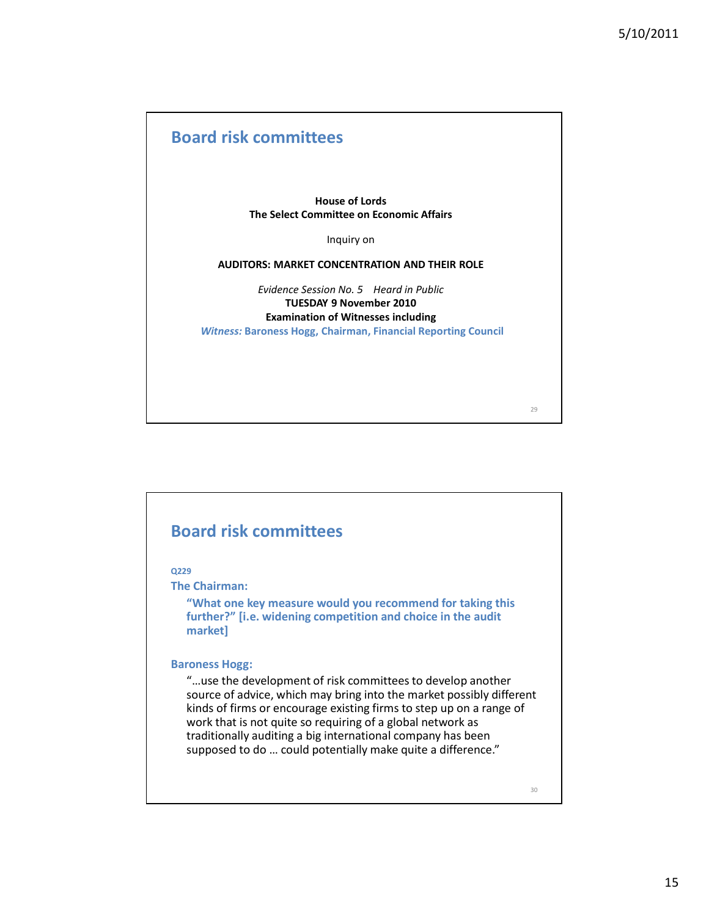**House of Lords The Select Committee on Economic Affairs**

Inquiry on

**AUDITORS: MARKET CONCENTRATION AND THEIR ROLE**

*Evidence Session No. 5 Heard in Public* **TUESDAY 9 November 2010 Examination of Witnesses including** *Witness:* **Baroness Hogg, Chairman, Financial Reporting Council**

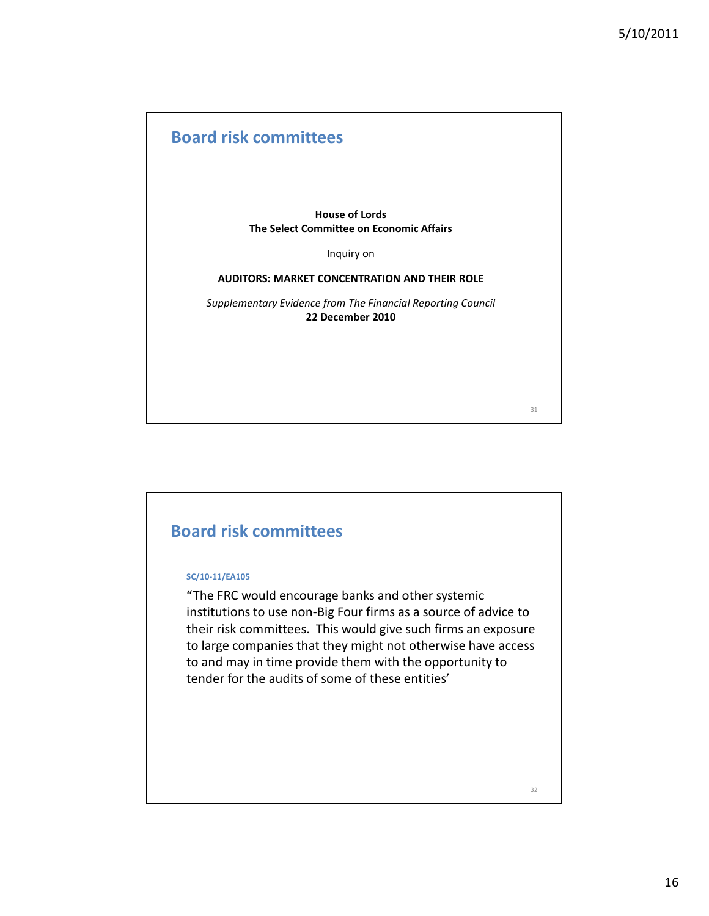**House of Lords The Select Committee on Economic Affairs**

Inquiry on

#### **AUDITORS: MARKET CONCENTRATION AND THEIR ROLE**

*Supplementary Evidence from The Financial Reporting Council* **22 December 2010**

# **Board risk committees**

#### **SC/10-11/EA105**

"The FRC would encourage banks and other systemic institutions to use non-Big Four firms as a source of advice to their risk committees. This would give such firms an exposure to large companies that they might not otherwise have access to and may in time provide them with the opportunity to tender for the audits of some of these entities'

32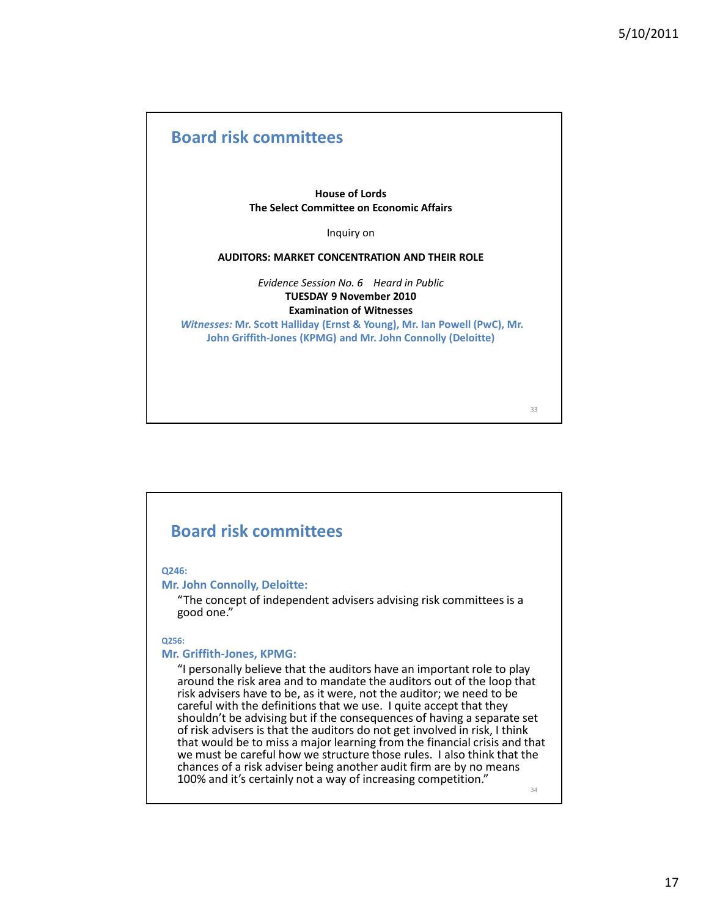**House of Lords The Select Committee on Economic Affairs**

Inquiry on

#### **AUDITORS: MARKET CONCENTRATION AND THEIR ROLE**

*Evidence Session No. 6 Heard in Public* **TUESDAY 9 November 2010 Examination of Witnesses**

*Witnesses:* **Mr. Scott Halliday (Ernst & Young), Mr. Ian Powell (PwC), Mr. John Griffith-Jones (KPMG) and Mr. John Connolly (Deloitte)**

33

## **Board risk committees Q246: Mr. John Connolly, Deloitte:** "The concept of independent advisers advising risk committees is a good one." **Q256: Mr. Griffith-Jones, KPMG:** "I personally believe that the auditors have an important role to play around the risk area and to mandate the auditors out of the loop that risk advisers have to be, as it were, not the auditor; we need to be careful with the definitions that we use. I quite accept that they shouldn't be advising but if the consequences of having a separate set of risk advisers is that the auditors do not get involved in risk, I think that would be to miss a major learning from the financial crisis and that we must be careful how we structure those rules. I also think that the chances of a risk adviser being another audit firm are by no means 100% and it's certainly not a way of increasing competition." 34